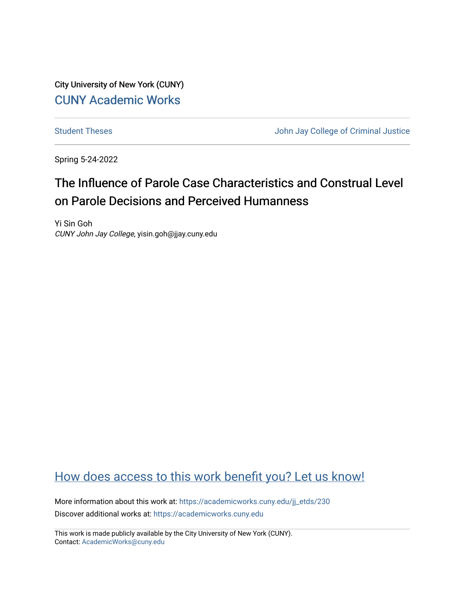City University of New York (CUNY) [CUNY Academic Works](https://academicworks.cuny.edu/) 

[Student Theses](https://academicworks.cuny.edu/jj_etds) **Student Theses** John Jay College of Criminal Justice

Spring 5-24-2022

# The Influence of Parole Case Characteristics and Construal Level on Parole Decisions and Perceived Humanness

Yi Sin Goh CUNY John Jay College, yisin.goh@jjay.cuny.edu

# [How does access to this work benefit you? Let us know!](http://ols.cuny.edu/academicworks/?ref=https://academicworks.cuny.edu/jj_etds/230)

More information about this work at: [https://academicworks.cuny.edu/jj\\_etds/230](https://academicworks.cuny.edu/jj_etds/230)  Discover additional works at: [https://academicworks.cuny.edu](https://academicworks.cuny.edu/?)

This work is made publicly available by the City University of New York (CUNY). Contact: [AcademicWorks@cuny.edu](mailto:AcademicWorks@cuny.edu)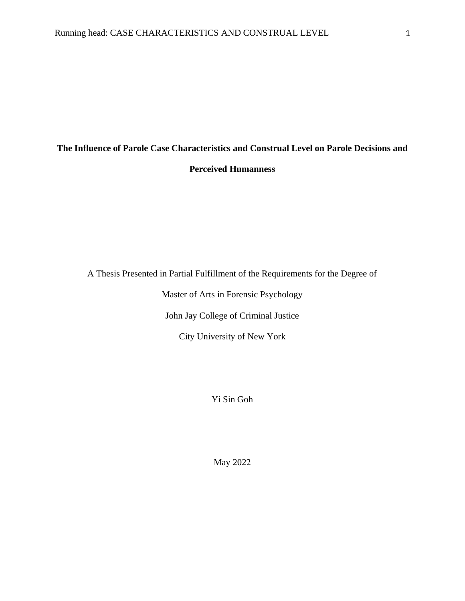# **The Influence of Parole Case Characteristics and Construal Level on Parole Decisions and Perceived Humanness**

A Thesis Presented in Partial Fulfillment of the Requirements for the Degree of

Master of Arts in Forensic Psychology

John Jay College of Criminal Justice

City University of New York

Yi Sin Goh

May 2022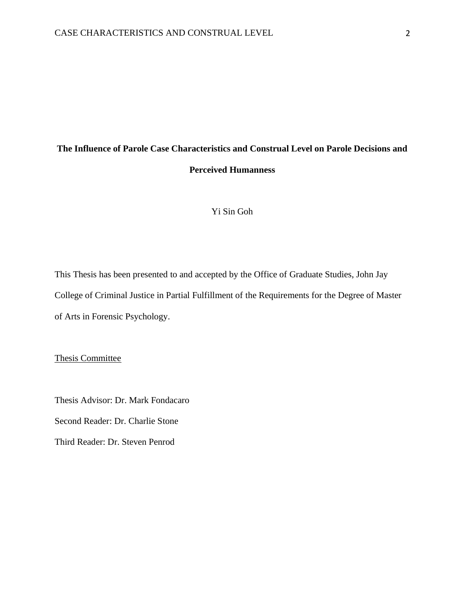# **The Influence of Parole Case Characteristics and Construal Level on Parole Decisions and Perceived Humanness**

# Yi Sin Goh

This Thesis has been presented to and accepted by the Office of Graduate Studies, John Jay College of Criminal Justice in Partial Fulfillment of the Requirements for the Degree of Master of Arts in Forensic Psychology.

Thesis Committee

Thesis Advisor: Dr. Mark Fondacaro

Second Reader: Dr. Charlie Stone

Third Reader: Dr. Steven Penrod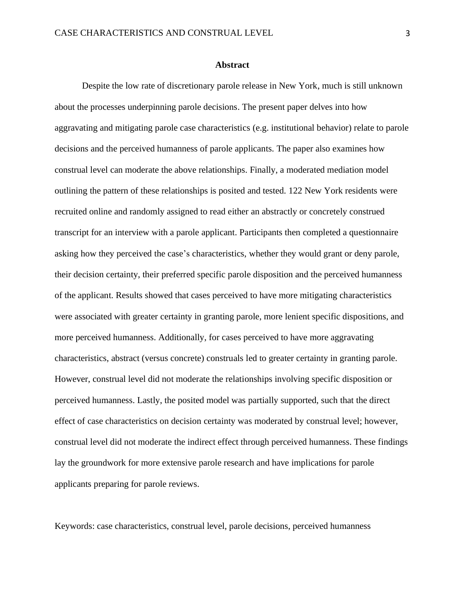#### **Abstract**

Despite the low rate of discretionary parole release in New York, much is still unknown about the processes underpinning parole decisions. The present paper delves into how aggravating and mitigating parole case characteristics (e.g. institutional behavior) relate to parole decisions and the perceived humanness of parole applicants. The paper also examines how construal level can moderate the above relationships. Finally, a moderated mediation model outlining the pattern of these relationships is posited and tested. 122 New York residents were recruited online and randomly assigned to read either an abstractly or concretely construed transcript for an interview with a parole applicant. Participants then completed a questionnaire asking how they perceived the case's characteristics, whether they would grant or deny parole, their decision certainty, their preferred specific parole disposition and the perceived humanness of the applicant. Results showed that cases perceived to have more mitigating characteristics were associated with greater certainty in granting parole, more lenient specific dispositions, and more perceived humanness. Additionally, for cases perceived to have more aggravating characteristics, abstract (versus concrete) construals led to greater certainty in granting parole. However, construal level did not moderate the relationships involving specific disposition or perceived humanness. Lastly, the posited model was partially supported, such that the direct effect of case characteristics on decision certainty was moderated by construal level; however, construal level did not moderate the indirect effect through perceived humanness. These findings lay the groundwork for more extensive parole research and have implications for parole applicants preparing for parole reviews.

Keywords: case characteristics, construal level, parole decisions, perceived humanness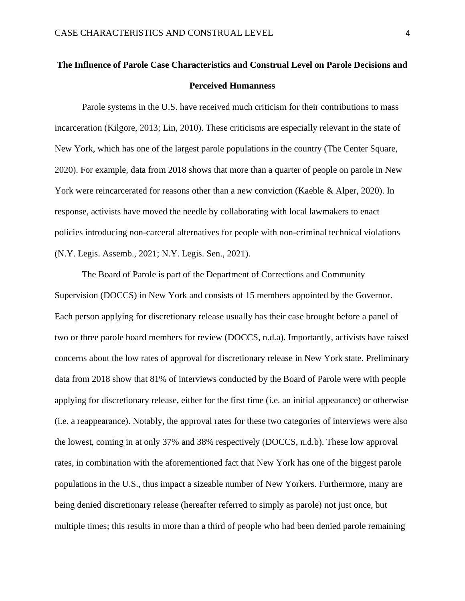# **The Influence of Parole Case Characteristics and Construal Level on Parole Decisions and Perceived Humanness**

Parole systems in the U.S. have received much criticism for their contributions to mass incarceration (Kilgore, 2013; Lin, 2010). These criticisms are especially relevant in the state of New York, which has one of the largest parole populations in the country (The Center Square, 2020). For example, data from 2018 shows that more than a quarter of people on parole in New York were reincarcerated for reasons other than a new conviction (Kaeble & Alper, 2020). In response, activists have moved the needle by collaborating with local lawmakers to enact policies introducing non-carceral alternatives for people with non-criminal technical violations (N.Y. Legis. Assemb., 2021; N.Y. Legis. Sen., 2021).

The Board of Parole is part of the Department of Corrections and Community Supervision (DOCCS) in New York and consists of 15 members appointed by the Governor. Each person applying for discretionary release usually has their case brought before a panel of two or three parole board members for review (DOCCS, n.d.a). Importantly, activists have raised concerns about the low rates of approval for discretionary release in New York state. Preliminary data from 2018 show that 81% of interviews conducted by the Board of Parole were with people applying for discretionary release, either for the first time (i.e. an initial appearance) or otherwise (i.e. a reappearance). Notably, the approval rates for these two categories of interviews were also the lowest, coming in at only 37% and 38% respectively (DOCCS, n.d.b). These low approval rates, in combination with the aforementioned fact that New York has one of the biggest parole populations in the U.S., thus impact a sizeable number of New Yorkers. Furthermore, many are being denied discretionary release (hereafter referred to simply as parole) not just once, but multiple times; this results in more than a third of people who had been denied parole remaining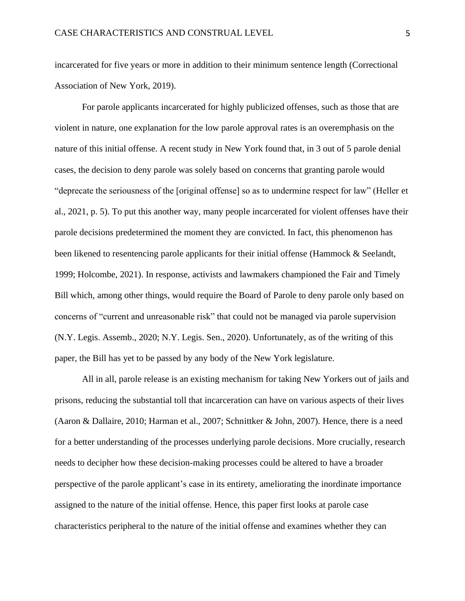incarcerated for five years or more in addition to their minimum sentence length (Correctional Association of New York, 2019).

For parole applicants incarcerated for highly publicized offenses, such as those that are violent in nature, one explanation for the low parole approval rates is an overemphasis on the nature of this initial offense. A recent study in New York found that, in 3 out of 5 parole denial cases, the decision to deny parole was solely based on concerns that granting parole would "deprecate the seriousness of the [original offense] so as to undermine respect for law" (Heller et al., 2021, p. 5). To put this another way, many people incarcerated for violent offenses have their parole decisions predetermined the moment they are convicted. In fact, this phenomenon has been likened to resentencing parole applicants for their initial offense (Hammock & Seelandt, 1999; Holcombe, 2021). In response, activists and lawmakers championed the Fair and Timely Bill which, among other things, would require the Board of Parole to deny parole only based on concerns of "current and unreasonable risk" that could not be managed via parole supervision (N.Y. Legis. Assemb., 2020; N.Y. Legis. Sen., 2020). Unfortunately, as of the writing of this paper, the Bill has yet to be passed by any body of the New York legislature.

All in all, parole release is an existing mechanism for taking New Yorkers out of jails and prisons, reducing the substantial toll that incarceration can have on various aspects of their lives (Aaron & Dallaire, 2010; Harman et al., 2007; Schnittker & John, 2007). Hence, there is a need for a better understanding of the processes underlying parole decisions. More crucially, research needs to decipher how these decision-making processes could be altered to have a broader perspective of the parole applicant's case in its entirety, ameliorating the inordinate importance assigned to the nature of the initial offense. Hence, this paper first looks at parole case characteristics peripheral to the nature of the initial offense and examines whether they can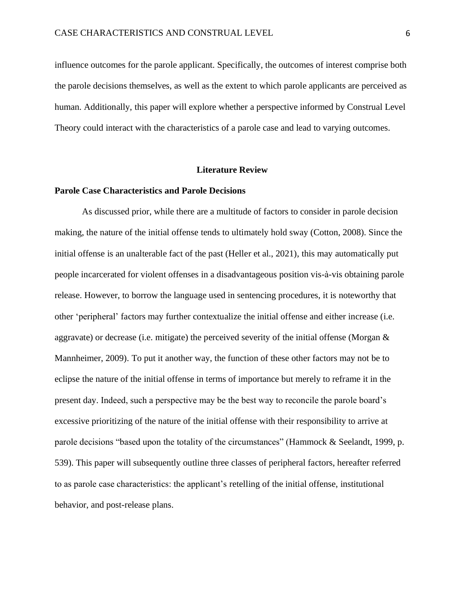influence outcomes for the parole applicant. Specifically, the outcomes of interest comprise both the parole decisions themselves, as well as the extent to which parole applicants are perceived as human. Additionally, this paper will explore whether a perspective informed by Construal Level Theory could interact with the characteristics of a parole case and lead to varying outcomes.

#### **Literature Review**

#### **Parole Case Characteristics and Parole Decisions**

As discussed prior, while there are a multitude of factors to consider in parole decision making, the nature of the initial offense tends to ultimately hold sway (Cotton, 2008). Since the initial offense is an unalterable fact of the past (Heller et al., 2021), this may automatically put people incarcerated for violent offenses in a disadvantageous position vis-à-vis obtaining parole release. However, to borrow the language used in sentencing procedures, it is noteworthy that other 'peripheral' factors may further contextualize the initial offense and either increase (i.e. aggravate) or decrease (i.e. mitigate) the perceived severity of the initial offense (Morgan & Mannheimer, 2009). To put it another way, the function of these other factors may not be to eclipse the nature of the initial offense in terms of importance but merely to reframe it in the present day. Indeed, such a perspective may be the best way to reconcile the parole board's excessive prioritizing of the nature of the initial offense with their responsibility to arrive at parole decisions "based upon the totality of the circumstances" (Hammock & Seelandt, 1999, p. 539). This paper will subsequently outline three classes of peripheral factors, hereafter referred to as parole case characteristics: the applicant's retelling of the initial offense, institutional behavior, and post-release plans.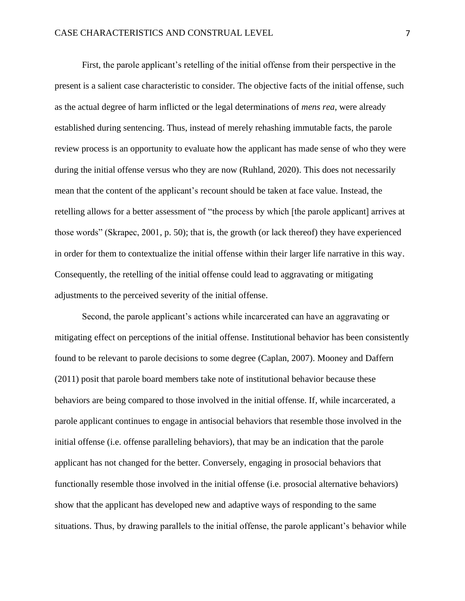First, the parole applicant's retelling of the initial offense from their perspective in the present is a salient case characteristic to consider. The objective facts of the initial offense, such as the actual degree of harm inflicted or the legal determinations of *mens rea*, were already established during sentencing. Thus, instead of merely rehashing immutable facts, the parole review process is an opportunity to evaluate how the applicant has made sense of who they were during the initial offense versus who they are now (Ruhland, 2020). This does not necessarily mean that the content of the applicant's recount should be taken at face value. Instead, the retelling allows for a better assessment of "the process by which [the parole applicant] arrives at those words" (Skrapec, 2001, p. 50); that is, the growth (or lack thereof) they have experienced in order for them to contextualize the initial offense within their larger life narrative in this way. Consequently, the retelling of the initial offense could lead to aggravating or mitigating adjustments to the perceived severity of the initial offense.

Second, the parole applicant's actions while incarcerated can have an aggravating or mitigating effect on perceptions of the initial offense. Institutional behavior has been consistently found to be relevant to parole decisions to some degree (Caplan, 2007). Mooney and Daffern (2011) posit that parole board members take note of institutional behavior because these behaviors are being compared to those involved in the initial offense. If, while incarcerated, a parole applicant continues to engage in antisocial behaviors that resemble those involved in the initial offense (i.e. offense paralleling behaviors), that may be an indication that the parole applicant has not changed for the better. Conversely, engaging in prosocial behaviors that functionally resemble those involved in the initial offense (i.e. prosocial alternative behaviors) show that the applicant has developed new and adaptive ways of responding to the same situations. Thus, by drawing parallels to the initial offense, the parole applicant's behavior while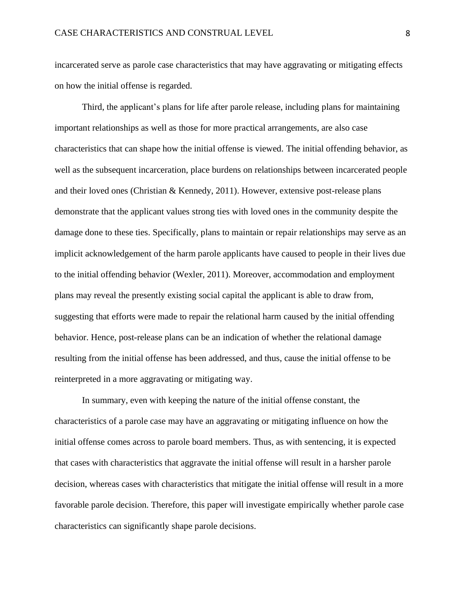incarcerated serve as parole case characteristics that may have aggravating or mitigating effects on how the initial offense is regarded.

Third, the applicant's plans for life after parole release, including plans for maintaining important relationships as well as those for more practical arrangements, are also case characteristics that can shape how the initial offense is viewed. The initial offending behavior, as well as the subsequent incarceration, place burdens on relationships between incarcerated people and their loved ones (Christian & Kennedy, 2011). However, extensive post-release plans demonstrate that the applicant values strong ties with loved ones in the community despite the damage done to these ties. Specifically, plans to maintain or repair relationships may serve as an implicit acknowledgement of the harm parole applicants have caused to people in their lives due to the initial offending behavior (Wexler, 2011). Moreover, accommodation and employment plans may reveal the presently existing social capital the applicant is able to draw from, suggesting that efforts were made to repair the relational harm caused by the initial offending behavior. Hence, post-release plans can be an indication of whether the relational damage resulting from the initial offense has been addressed, and thus, cause the initial offense to be reinterpreted in a more aggravating or mitigating way.

In summary, even with keeping the nature of the initial offense constant, the characteristics of a parole case may have an aggravating or mitigating influence on how the initial offense comes across to parole board members. Thus, as with sentencing, it is expected that cases with characteristics that aggravate the initial offense will result in a harsher parole decision, whereas cases with characteristics that mitigate the initial offense will result in a more favorable parole decision. Therefore, this paper will investigate empirically whether parole case characteristics can significantly shape parole decisions.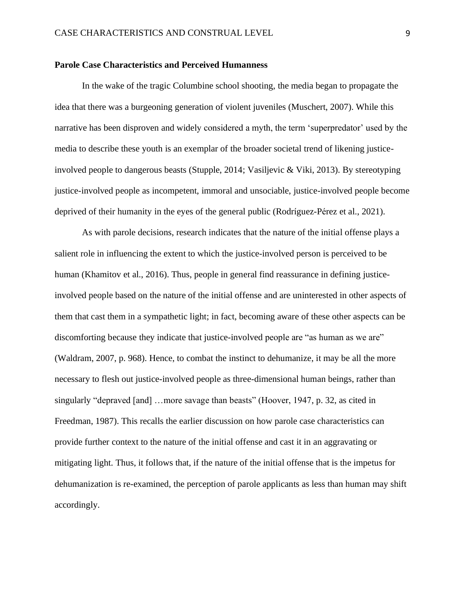#### **Parole Case Characteristics and Perceived Humanness**

In the wake of the tragic Columbine school shooting, the media began to propagate the idea that there was a burgeoning generation of violent juveniles (Muschert, 2007). While this narrative has been disproven and widely considered a myth, the term 'superpredator' used by the media to describe these youth is an exemplar of the broader societal trend of likening justiceinvolved people to dangerous beasts (Stupple, 2014; Vasiljevic & Viki, 2013). By stereotyping justice-involved people as incompetent, immoral and unsociable, justice-involved people become deprived of their humanity in the eyes of the general public (Rodríguez-Pérez et al., 2021).

As with parole decisions, research indicates that the nature of the initial offense plays a salient role in influencing the extent to which the justice-involved person is perceived to be human (Khamitov et al., 2016). Thus, people in general find reassurance in defining justiceinvolved people based on the nature of the initial offense and are uninterested in other aspects of them that cast them in a sympathetic light; in fact, becoming aware of these other aspects can be discomforting because they indicate that justice-involved people are "as human as we are" (Waldram, 2007, p. 968). Hence, to combat the instinct to dehumanize, it may be all the more necessary to flesh out justice-involved people as three-dimensional human beings, rather than singularly "depraved [and] …more savage than beasts" (Hoover, 1947, p. 32, as cited in Freedman, 1987). This recalls the earlier discussion on how parole case characteristics can provide further context to the nature of the initial offense and cast it in an aggravating or mitigating light. Thus, it follows that, if the nature of the initial offense that is the impetus for dehumanization is re-examined, the perception of parole applicants as less than human may shift accordingly.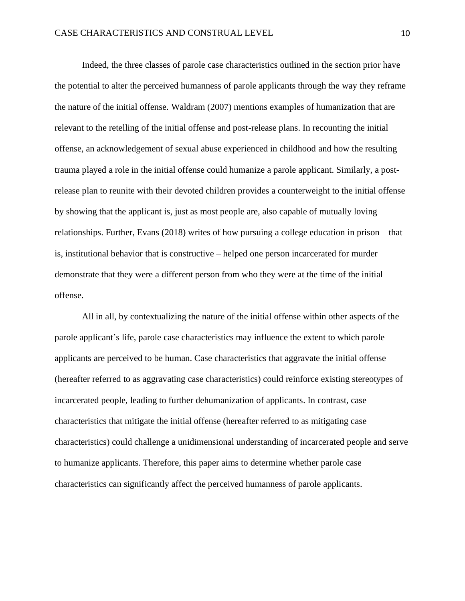Indeed, the three classes of parole case characteristics outlined in the section prior have the potential to alter the perceived humanness of parole applicants through the way they reframe the nature of the initial offense. Waldram (2007) mentions examples of humanization that are relevant to the retelling of the initial offense and post-release plans. In recounting the initial offense, an acknowledgement of sexual abuse experienced in childhood and how the resulting trauma played a role in the initial offense could humanize a parole applicant. Similarly, a postrelease plan to reunite with their devoted children provides a counterweight to the initial offense by showing that the applicant is, just as most people are, also capable of mutually loving relationships. Further, Evans (2018) writes of how pursuing a college education in prison – that is, institutional behavior that is constructive – helped one person incarcerated for murder demonstrate that they were a different person from who they were at the time of the initial offense.

All in all, by contextualizing the nature of the initial offense within other aspects of the parole applicant's life, parole case characteristics may influence the extent to which parole applicants are perceived to be human. Case characteristics that aggravate the initial offense (hereafter referred to as aggravating case characteristics) could reinforce existing stereotypes of incarcerated people, leading to further dehumanization of applicants. In contrast, case characteristics that mitigate the initial offense (hereafter referred to as mitigating case characteristics) could challenge a unidimensional understanding of incarcerated people and serve to humanize applicants. Therefore, this paper aims to determine whether parole case characteristics can significantly affect the perceived humanness of parole applicants.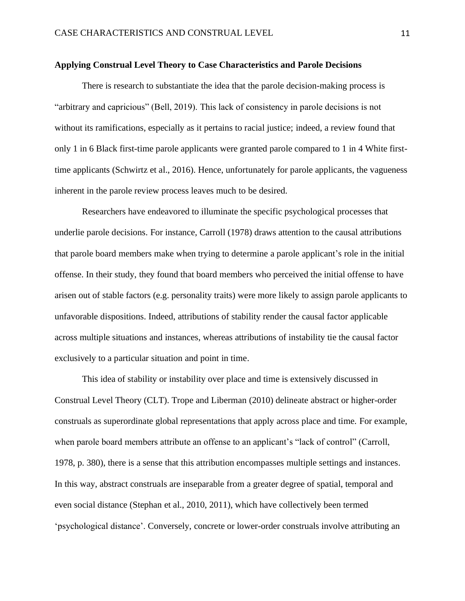#### **Applying Construal Level Theory to Case Characteristics and Parole Decisions**

There is research to substantiate the idea that the parole decision-making process is "arbitrary and capricious" (Bell, 2019). This lack of consistency in parole decisions is not without its ramifications, especially as it pertains to racial justice; indeed, a review found that only 1 in 6 Black first-time parole applicants were granted parole compared to 1 in 4 White firsttime applicants (Schwirtz et al., 2016). Hence, unfortunately for parole applicants, the vagueness inherent in the parole review process leaves much to be desired.

Researchers have endeavored to illuminate the specific psychological processes that underlie parole decisions. For instance, Carroll (1978) draws attention to the causal attributions that parole board members make when trying to determine a parole applicant's role in the initial offense. In their study, they found that board members who perceived the initial offense to have arisen out of stable factors (e.g. personality traits) were more likely to assign parole applicants to unfavorable dispositions. Indeed, attributions of stability render the causal factor applicable across multiple situations and instances, whereas attributions of instability tie the causal factor exclusively to a particular situation and point in time.

This idea of stability or instability over place and time is extensively discussed in Construal Level Theory (CLT). Trope and Liberman (2010) delineate abstract or higher-order construals as superordinate global representations that apply across place and time. For example, when parole board members attribute an offense to an applicant's "lack of control" (Carroll, 1978, p. 380), there is a sense that this attribution encompasses multiple settings and instances. In this way, abstract construals are inseparable from a greater degree of spatial, temporal and even social distance (Stephan et al., 2010, 2011), which have collectively been termed 'psychological distance'. Conversely, concrete or lower-order construals involve attributing an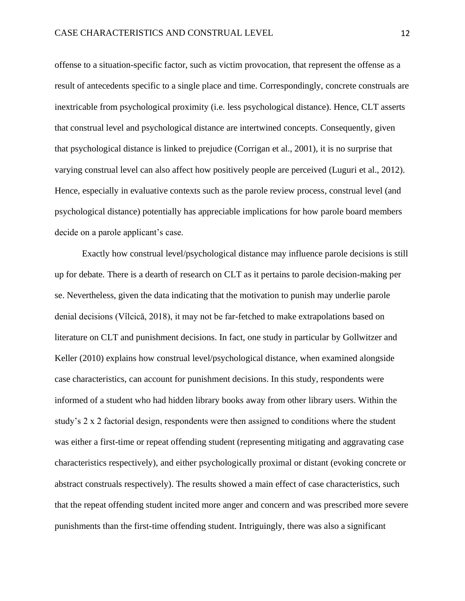offense to a situation-specific factor, such as victim provocation, that represent the offense as a result of antecedents specific to a single place and time. Correspondingly, concrete construals are inextricable from psychological proximity (i.e. less psychological distance). Hence, CLT asserts that construal level and psychological distance are intertwined concepts. Consequently, given that psychological distance is linked to prejudice (Corrigan et al., 2001), it is no surprise that varying construal level can also affect how positively people are perceived (Luguri et al., 2012). Hence, especially in evaluative contexts such as the parole review process, construal level (and psychological distance) potentially has appreciable implications for how parole board members decide on a parole applicant's case.

Exactly how construal level/psychological distance may influence parole decisions is still up for debate. There is a dearth of research on CLT as it pertains to parole decision-making per se. Nevertheless, given the data indicating that the motivation to punish may underlie parole denial decisions (Vîlcică, 2018), it may not be far-fetched to make extrapolations based on literature on CLT and punishment decisions. In fact, one study in particular by Gollwitzer and Keller (2010) explains how construal level/psychological distance, when examined alongside case characteristics, can account for punishment decisions. In this study, respondents were informed of a student who had hidden library books away from other library users. Within the study's 2 x 2 factorial design, respondents were then assigned to conditions where the student was either a first-time or repeat offending student (representing mitigating and aggravating case characteristics respectively), and either psychologically proximal or distant (evoking concrete or abstract construals respectively). The results showed a main effect of case characteristics, such that the repeat offending student incited more anger and concern and was prescribed more severe punishments than the first-time offending student. Intriguingly, there was also a significant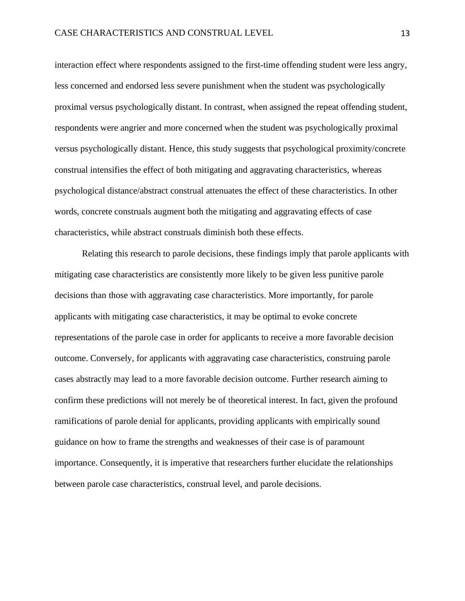interaction effect where respondents assigned to the first-time offending student were less angry, less concerned and endorsed less severe punishment when the student was psychologically proximal versus psychologically distant. In contrast, when assigned the repeat offending student, respondents were angrier and more concerned when the student was psychologically proximal versus psychologically distant. Hence, this study suggests that psychological proximity/concrete construal intensifies the effect of both mitigating and aggravating characteristics, whereas psychological distance/abstract construal attenuates the effect of these characteristics. In other words, concrete construals augment both the mitigating and aggravating effects of case characteristics, while abstract construals diminish both these effects.

Relating this research to parole decisions, these findings imply that parole applicants with mitigating case characteristics are consistently more likely to be given less punitive parole decisions than those with aggravating case characteristics. More importantly, for parole applicants with mitigating case characteristics, it may be optimal to evoke concrete representations of the parole case in order for applicants to receive a more favorable decision outcome. Conversely, for applicants with aggravating case characteristics, construing parole cases abstractly may lead to a more favorable decision outcome. Further research aiming to confirm these predictions will not merely be of theoretical interest. In fact, given the profound ramifications of parole denial for applicants, providing applicants with empirically sound guidance on how to frame the strengths and weaknesses of their case is of paramount importance. Consequently, it is imperative that researchers further elucidate the relationships between parole case characteristics, construal level, and parole decisions.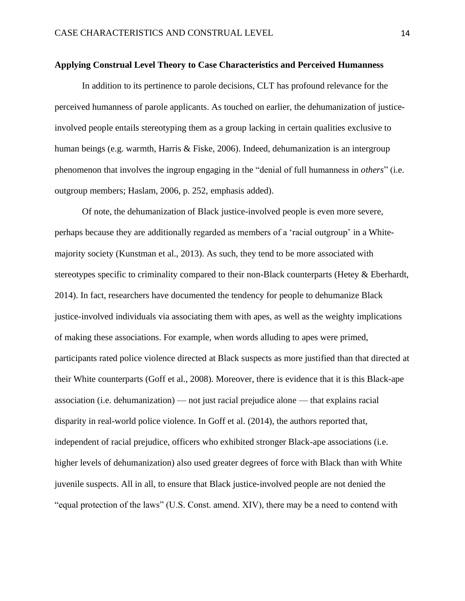#### **Applying Construal Level Theory to Case Characteristics and Perceived Humanness**

In addition to its pertinence to parole decisions, CLT has profound relevance for the perceived humanness of parole applicants. As touched on earlier, the dehumanization of justiceinvolved people entails stereotyping them as a group lacking in certain qualities exclusive to human beings (e.g. warmth, Harris & Fiske, 2006). Indeed, dehumanization is an intergroup phenomenon that involves the ingroup engaging in the "denial of full humanness in *others*" (i.e. outgroup members; Haslam, 2006, p. 252, emphasis added).

Of note, the dehumanization of Black justice-involved people is even more severe, perhaps because they are additionally regarded as members of a 'racial outgroup' in a Whitemajority society (Kunstman et al., 2013). As such, they tend to be more associated with stereotypes specific to criminality compared to their non-Black counterparts (Hetey & Eberhardt, 2014). In fact, researchers have documented the tendency for people to dehumanize Black justice-involved individuals via associating them with apes, as well as the weighty implications of making these associations. For example, when words alluding to apes were primed, participants rated police violence directed at Black suspects as more justified than that directed at their White counterparts (Goff et al., 2008). Moreover, there is evidence that it is this Black-ape association (i.e. dehumanization) — not just racial prejudice alone — that explains racial disparity in real-world police violence. In Goff et al. (2014), the authors reported that, independent of racial prejudice, officers who exhibited stronger Black-ape associations (i.e. higher levels of dehumanization) also used greater degrees of force with Black than with White juvenile suspects. All in all, to ensure that Black justice-involved people are not denied the "equal protection of the laws" (U.S. Const. amend. XIV), there may be a need to contend with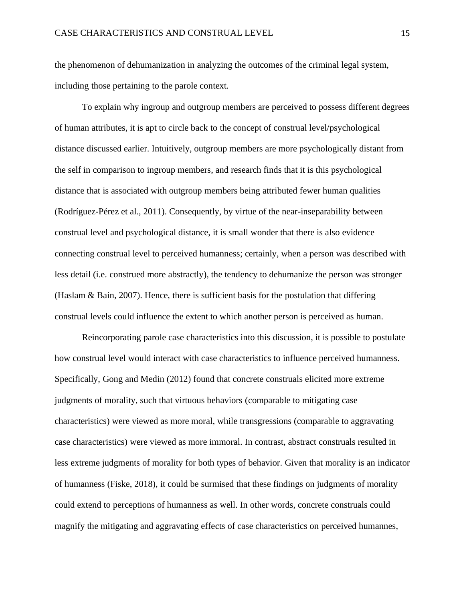the phenomenon of dehumanization in analyzing the outcomes of the criminal legal system, including those pertaining to the parole context.

To explain why ingroup and outgroup members are perceived to possess different degrees of human attributes, it is apt to circle back to the concept of construal level/psychological distance discussed earlier. Intuitively, outgroup members are more psychologically distant from the self in comparison to ingroup members, and research finds that it is this psychological distance that is associated with outgroup members being attributed fewer human qualities (Rodríguez-Pérez et al., 2011). Consequently, by virtue of the near-inseparability between construal level and psychological distance, it is small wonder that there is also evidence connecting construal level to perceived humanness; certainly, when a person was described with less detail (i.e. construed more abstractly), the tendency to dehumanize the person was stronger (Haslam & Bain, 2007). Hence, there is sufficient basis for the postulation that differing construal levels could influence the extent to which another person is perceived as human.

Reincorporating parole case characteristics into this discussion, it is possible to postulate how construal level would interact with case characteristics to influence perceived humanness. Specifically, Gong and Medin (2012) found that concrete construals elicited more extreme judgments of morality, such that virtuous behaviors (comparable to mitigating case characteristics) were viewed as more moral, while transgressions (comparable to aggravating case characteristics) were viewed as more immoral. In contrast, abstract construals resulted in less extreme judgments of morality for both types of behavior. Given that morality is an indicator of humanness (Fiske, 2018), it could be surmised that these findings on judgments of morality could extend to perceptions of humanness as well. In other words, concrete construals could magnify the mitigating and aggravating effects of case characteristics on perceived humannes,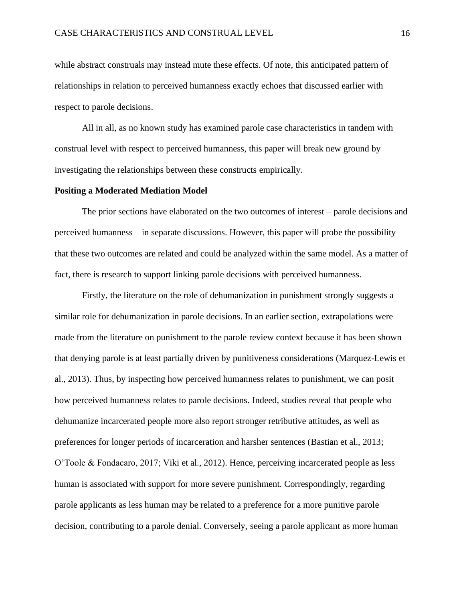while abstract construals may instead mute these effects. Of note, this anticipated pattern of relationships in relation to perceived humanness exactly echoes that discussed earlier with respect to parole decisions.

All in all, as no known study has examined parole case characteristics in tandem with construal level with respect to perceived humanness, this paper will break new ground by investigating the relationships between these constructs empirically.

#### **Positing a Moderated Mediation Model**

The prior sections have elaborated on the two outcomes of interest – parole decisions and perceived humanness – in separate discussions. However, this paper will probe the possibility that these two outcomes are related and could be analyzed within the same model. As a matter of fact, there is research to support linking parole decisions with perceived humanness.

Firstly, the literature on the role of dehumanization in punishment strongly suggests a similar role for dehumanization in parole decisions. In an earlier section, extrapolations were made from the literature on punishment to the parole review context because it has been shown that denying parole is at least partially driven by punitiveness considerations (Marquez-Lewis et al., 2013). Thus, by inspecting how perceived humanness relates to punishment, we can posit how perceived humanness relates to parole decisions. Indeed, studies reveal that people who dehumanize incarcerated people more also report stronger retributive attitudes, as well as preferences for longer periods of incarceration and harsher sentences (Bastian et al., 2013; O'Toole & Fondacaro, 2017; Viki et al., 2012). Hence, perceiving incarcerated people as less human is associated with support for more severe punishment. Correspondingly, regarding parole applicants as less human may be related to a preference for a more punitive parole decision, contributing to a parole denial. Conversely, seeing a parole applicant as more human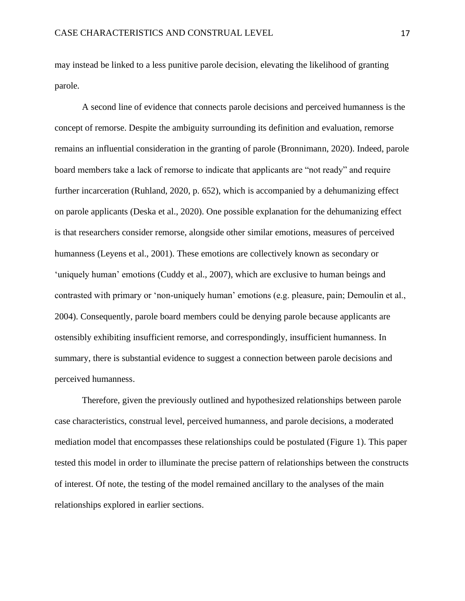may instead be linked to a less punitive parole decision, elevating the likelihood of granting parole.

A second line of evidence that connects parole decisions and perceived humanness is the concept of remorse. Despite the ambiguity surrounding its definition and evaluation, remorse remains an influential consideration in the granting of parole (Bronnimann, 2020). Indeed, parole board members take a lack of remorse to indicate that applicants are "not ready" and require further incarceration (Ruhland, 2020, p. 652), which is accompanied by a dehumanizing effect on parole applicants (Deska et al., 2020). One possible explanation for the dehumanizing effect is that researchers consider remorse, alongside other similar emotions, measures of perceived humanness (Leyens et al., 2001). These emotions are collectively known as secondary or 'uniquely human' emotions (Cuddy et al., 2007), which are exclusive to human beings and contrasted with primary or 'non-uniquely human' emotions (e.g. pleasure, pain; Demoulin et al., 2004). Consequently, parole board members could be denying parole because applicants are ostensibly exhibiting insufficient remorse, and correspondingly, insufficient humanness. In summary, there is substantial evidence to suggest a connection between parole decisions and perceived humanness.

Therefore, given the previously outlined and hypothesized relationships between parole case characteristics, construal level, perceived humanness, and parole decisions, a moderated mediation model that encompasses these relationships could be postulated (Figure 1). This paper tested this model in order to illuminate the precise pattern of relationships between the constructs of interest. Of note, the testing of the model remained ancillary to the analyses of the main relationships explored in earlier sections.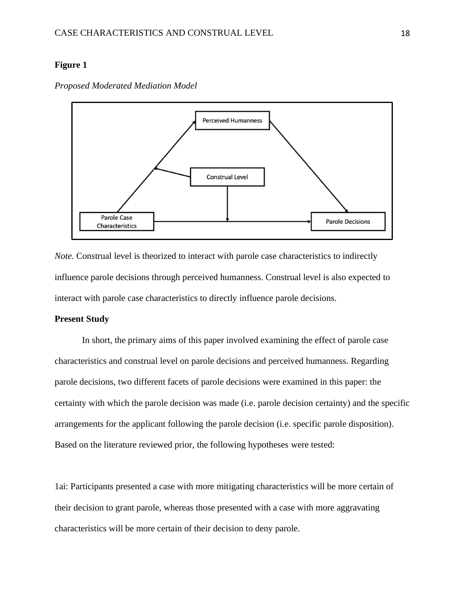# **Figure 1**

*Proposed Moderated Mediation Model*



*Note.* Construal level is theorized to interact with parole case characteristics to indirectly influence parole decisions through perceived humanness. Construal level is also expected to interact with parole case characteristics to directly influence parole decisions.

# **Present Study**

In short, the primary aims of this paper involved examining the effect of parole case characteristics and construal level on parole decisions and perceived humanness. Regarding parole decisions, two different facets of parole decisions were examined in this paper: the certainty with which the parole decision was made (i.e. parole decision certainty) and the specific arrangements for the applicant following the parole decision (i.e. specific parole disposition). Based on the literature reviewed prior, the following hypotheses were tested:

1ai: Participants presented a case with more mitigating characteristics will be more certain of their decision to grant parole, whereas those presented with a case with more aggravating characteristics will be more certain of their decision to deny parole.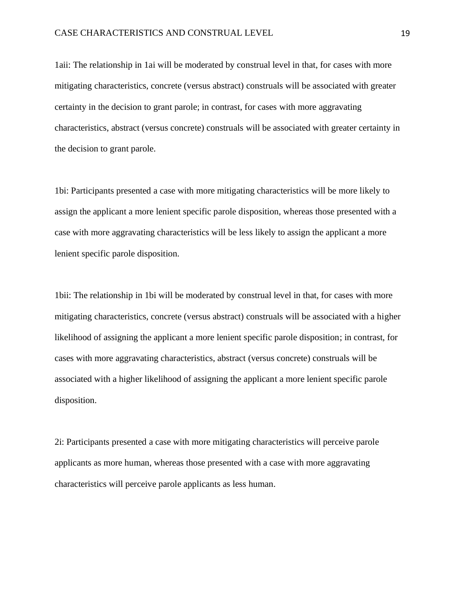1aii: The relationship in 1ai will be moderated by construal level in that, for cases with more mitigating characteristics, concrete (versus abstract) construals will be associated with greater certainty in the decision to grant parole; in contrast, for cases with more aggravating characteristics, abstract (versus concrete) construals will be associated with greater certainty in the decision to grant parole.

1bi: Participants presented a case with more mitigating characteristics will be more likely to assign the applicant a more lenient specific parole disposition, whereas those presented with a case with more aggravating characteristics will be less likely to assign the applicant a more lenient specific parole disposition.

1bii: The relationship in 1bi will be moderated by construal level in that, for cases with more mitigating characteristics, concrete (versus abstract) construals will be associated with a higher likelihood of assigning the applicant a more lenient specific parole disposition; in contrast, for cases with more aggravating characteristics, abstract (versus concrete) construals will be associated with a higher likelihood of assigning the applicant a more lenient specific parole disposition.

2i: Participants presented a case with more mitigating characteristics will perceive parole applicants as more human, whereas those presented with a case with more aggravating characteristics will perceive parole applicants as less human.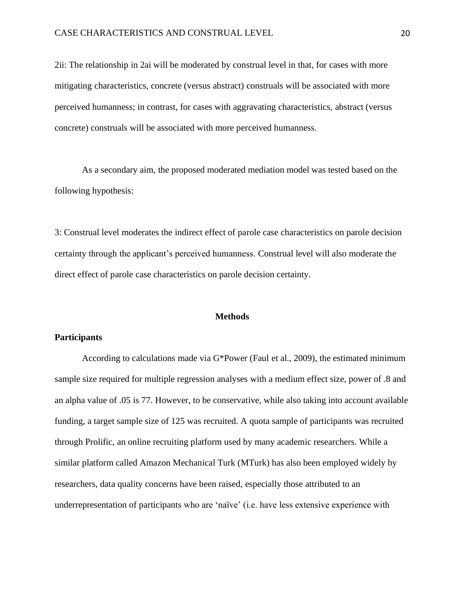2ii: The relationship in 2ai will be moderated by construal level in that, for cases with more mitigating characteristics, concrete (versus abstract) construals will be associated with more perceived humanness; in contrast, for cases with aggravating characteristics, abstract (versus concrete) construals will be associated with more perceived humanness.

As a secondary aim, the proposed moderated mediation model was tested based on the following hypothesis:

3: Construal level moderates the indirect effect of parole case characteristics on parole decision certainty through the applicant's perceived humanness. Construal level will also moderate the direct effect of parole case characteristics on parole decision certainty.

#### **Methods**

# **Participants**

According to calculations made via G\*Power (Faul et al., 2009), the estimated minimum sample size required for multiple regression analyses with a medium effect size, power of .8 and an alpha value of .05 is 77. However, to be conservative, while also taking into account available funding, a target sample size of 125 was recruited. A quota sample of participants was recruited through Prolific, an online recruiting platform used by many academic researchers. While a similar platform called Amazon Mechanical Turk (MTurk) has also been employed widely by researchers, data quality concerns have been raised, especially those attributed to an underrepresentation of participants who are 'naïve' (i.e. have less extensive experience with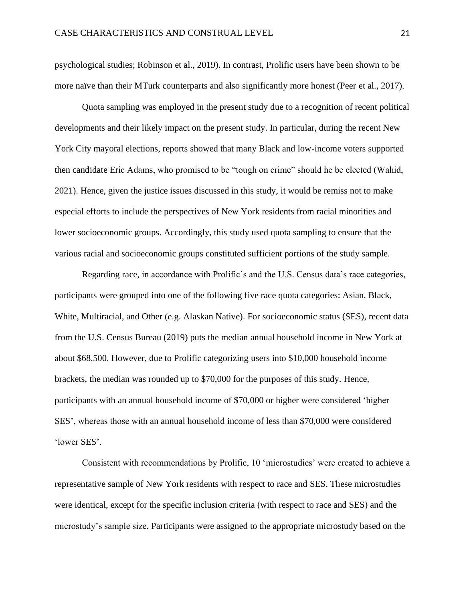psychological studies; Robinson et al., 2019). In contrast, Prolific users have been shown to be more naïve than their MTurk counterparts and also significantly more honest (Peer et al., 2017).

Quota sampling was employed in the present study due to a recognition of recent political developments and their likely impact on the present study. In particular, during the recent New York City mayoral elections, reports showed that many Black and low-income voters supported then candidate Eric Adams, who promised to be "tough on crime" should he be elected (Wahid, 2021). Hence, given the justice issues discussed in this study, it would be remiss not to make especial efforts to include the perspectives of New York residents from racial minorities and lower socioeconomic groups. Accordingly, this study used quota sampling to ensure that the various racial and socioeconomic groups constituted sufficient portions of the study sample.

Regarding race, in accordance with Prolific's and the U.S. Census data's race categories, participants were grouped into one of the following five race quota categories: Asian, Black, White, Multiracial, and Other (e.g. Alaskan Native). For socioeconomic status (SES), recent data from the U.S. Census Bureau (2019) puts the median annual household income in New York at about \$68,500. However, due to Prolific categorizing users into \$10,000 household income brackets, the median was rounded up to \$70,000 for the purposes of this study. Hence, participants with an annual household income of \$70,000 or higher were considered 'higher SES', whereas those with an annual household income of less than \$70,000 were considered 'lower SES'.

Consistent with recommendations by Prolific, 10 'microstudies' were created to achieve a representative sample of New York residents with respect to race and SES. These microstudies were identical, except for the specific inclusion criteria (with respect to race and SES) and the microstudy's sample size. Participants were assigned to the appropriate microstudy based on the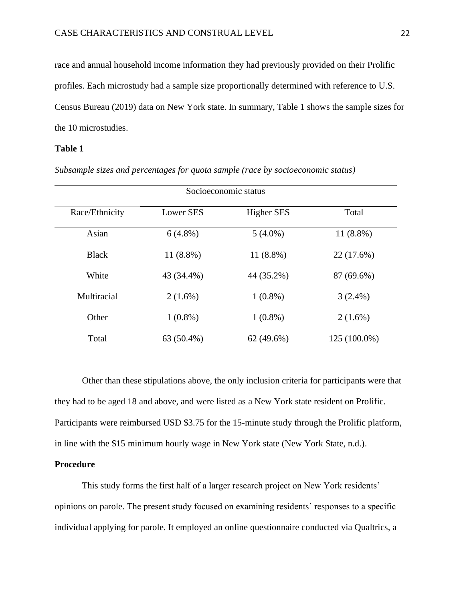race and annual household income information they had previously provided on their Prolific profiles. Each microstudy had a sample size proportionally determined with reference to U.S. Census Bureau (2019) data on New York state. In summary, Table 1 shows the sample sizes for the 10 microstudies.

# **Table 1**

| Socioeconomic status |             |                   |              |
|----------------------|-------------|-------------------|--------------|
| Race/Ethnicity       | Lower SES   | <b>Higher SES</b> | Total        |
| Asian                | $6(4.8\%)$  | $5(4.0\%)$        | $11(8.8\%)$  |
| <b>Black</b>         | $11(8.8\%)$ | $11(8.8\%)$       | 22 (17.6%)   |
| White                | 43 (34.4%)  | 44 (35.2%)        | 87 (69.6%)   |
| Multiracial          | $2(1.6\%)$  | $1(0.8\%)$        | $3(2.4\%)$   |
| Other                | $1(0.8\%)$  | $1(0.8\%)$        | $2(1.6\%)$   |
| Total                | 63 (50.4%)  | $62(49.6\%)$      | 125 (100.0%) |

*Subsample sizes and percentages for quota sample (race by socioeconomic status)*

Other than these stipulations above, the only inclusion criteria for participants were that they had to be aged 18 and above, and were listed as a New York state resident on Prolific. Participants were reimbursed USD \$3.75 for the 15-minute study through the Prolific platform, in line with the \$15 minimum hourly wage in New York state (New York State, n.d.).

### **Procedure**

This study forms the first half of a larger research project on New York residents' opinions on parole. The present study focused on examining residents' responses to a specific individual applying for parole. It employed an online questionnaire conducted via Qualtrics, a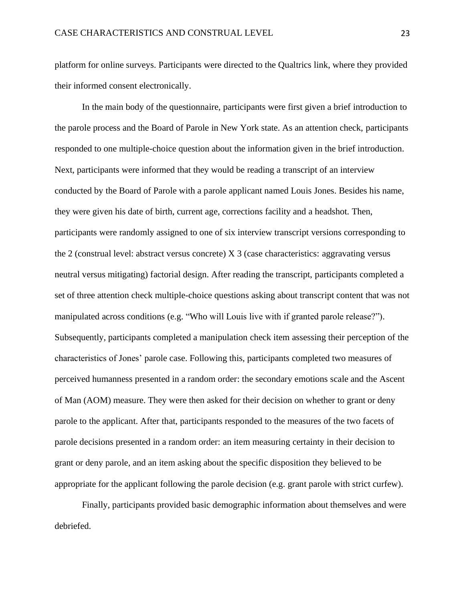platform for online surveys. Participants were directed to the Qualtrics link, where they provided their informed consent electronically.

In the main body of the questionnaire, participants were first given a brief introduction to the parole process and the Board of Parole in New York state. As an attention check, participants responded to one multiple-choice question about the information given in the brief introduction. Next, participants were informed that they would be reading a transcript of an interview conducted by the Board of Parole with a parole applicant named Louis Jones. Besides his name, they were given his date of birth, current age, corrections facility and a headshot. Then, participants were randomly assigned to one of six interview transcript versions corresponding to the 2 (construal level: abstract versus concrete) X 3 (case characteristics: aggravating versus neutral versus mitigating) factorial design. After reading the transcript, participants completed a set of three attention check multiple-choice questions asking about transcript content that was not manipulated across conditions (e.g. "Who will Louis live with if granted parole release?"). Subsequently, participants completed a manipulation check item assessing their perception of the characteristics of Jones' parole case. Following this, participants completed two measures of perceived humanness presented in a random order: the secondary emotions scale and the Ascent of Man (AOM) measure. They were then asked for their decision on whether to grant or deny parole to the applicant. After that, participants responded to the measures of the two facets of parole decisions presented in a random order: an item measuring certainty in their decision to grant or deny parole, and an item asking about the specific disposition they believed to be appropriate for the applicant following the parole decision (e.g. grant parole with strict curfew).

Finally, participants provided basic demographic information about themselves and were debriefed.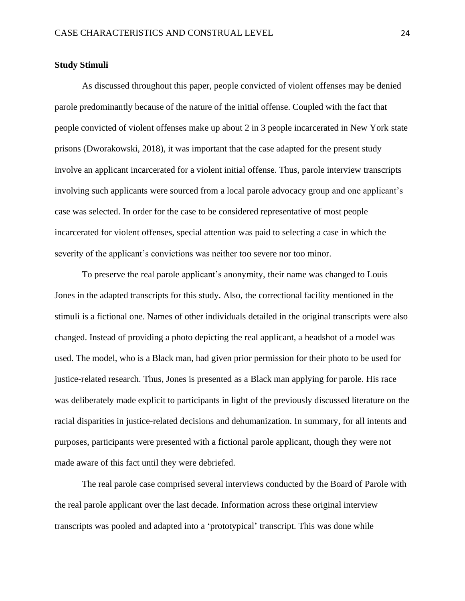# **Study Stimuli**

As discussed throughout this paper, people convicted of violent offenses may be denied parole predominantly because of the nature of the initial offense. Coupled with the fact that people convicted of violent offenses make up about 2 in 3 people incarcerated in New York state prisons (Dworakowski, 2018), it was important that the case adapted for the present study involve an applicant incarcerated for a violent initial offense. Thus, parole interview transcripts involving such applicants were sourced from a local parole advocacy group and one applicant's case was selected. In order for the case to be considered representative of most people incarcerated for violent offenses, special attention was paid to selecting a case in which the severity of the applicant's convictions was neither too severe nor too minor.

To preserve the real parole applicant's anonymity, their name was changed to Louis Jones in the adapted transcripts for this study. Also, the correctional facility mentioned in the stimuli is a fictional one. Names of other individuals detailed in the original transcripts were also changed. Instead of providing a photo depicting the real applicant, a headshot of a model was used. The model, who is a Black man, had given prior permission for their photo to be used for justice-related research. Thus, Jones is presented as a Black man applying for parole. His race was deliberately made explicit to participants in light of the previously discussed literature on the racial disparities in justice-related decisions and dehumanization. In summary, for all intents and purposes, participants were presented with a fictional parole applicant, though they were not made aware of this fact until they were debriefed.

The real parole case comprised several interviews conducted by the Board of Parole with the real parole applicant over the last decade. Information across these original interview transcripts was pooled and adapted into a 'prototypical' transcript. This was done while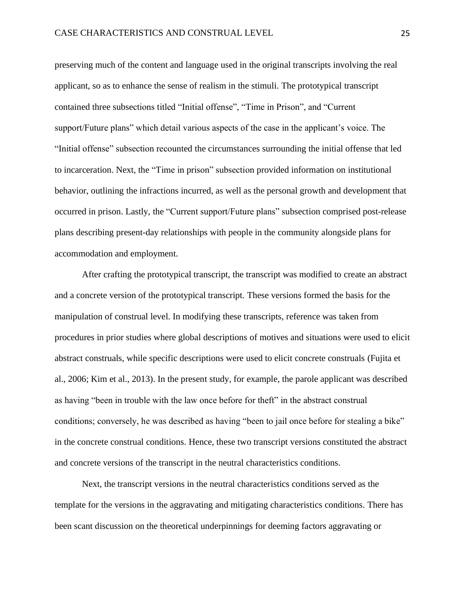preserving much of the content and language used in the original transcripts involving the real applicant, so as to enhance the sense of realism in the stimuli. The prototypical transcript contained three subsections titled "Initial offense", "Time in Prison", and "Current support/Future plans" which detail various aspects of the case in the applicant's voice. The "Initial offense" subsection recounted the circumstances surrounding the initial offense that led to incarceration. Next, the "Time in prison" subsection provided information on institutional behavior, outlining the infractions incurred, as well as the personal growth and development that occurred in prison. Lastly, the "Current support/Future plans" subsection comprised post-release plans describing present-day relationships with people in the community alongside plans for accommodation and employment.

After crafting the prototypical transcript, the transcript was modified to create an abstract and a concrete version of the prototypical transcript. These versions formed the basis for the manipulation of construal level. In modifying these transcripts, reference was taken from procedures in prior studies where global descriptions of motives and situations were used to elicit abstract construals, while specific descriptions were used to elicit concrete construals (Fujita et al., 2006; Kim et al., 2013). In the present study, for example, the parole applicant was described as having "been in trouble with the law once before for theft" in the abstract construal conditions; conversely, he was described as having "been to jail once before for stealing a bike" in the concrete construal conditions. Hence, these two transcript versions constituted the abstract and concrete versions of the transcript in the neutral characteristics conditions.

Next, the transcript versions in the neutral characteristics conditions served as the template for the versions in the aggravating and mitigating characteristics conditions. There has been scant discussion on the theoretical underpinnings for deeming factors aggravating or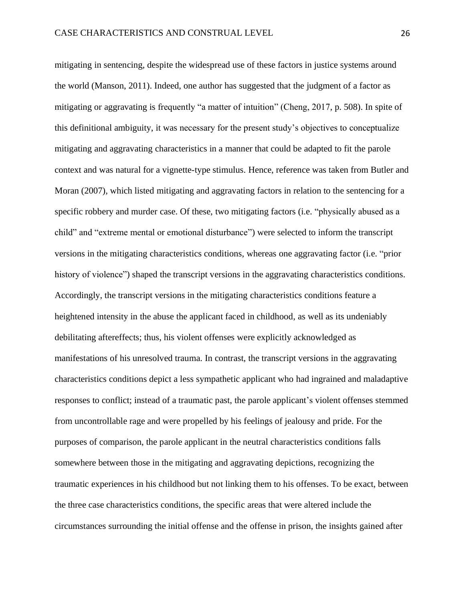mitigating in sentencing, despite the widespread use of these factors in justice systems around the world (Manson, 2011). Indeed, one author has suggested that the judgment of a factor as mitigating or aggravating is frequently "a matter of intuition" (Cheng, 2017, p. 508). In spite of this definitional ambiguity, it was necessary for the present study's objectives to conceptualize mitigating and aggravating characteristics in a manner that could be adapted to fit the parole context and was natural for a vignette-type stimulus. Hence, reference was taken from Butler and Moran (2007), which listed mitigating and aggravating factors in relation to the sentencing for a specific robbery and murder case. Of these, two mitigating factors (i.e. "physically abused as a child" and "extreme mental or emotional disturbance") were selected to inform the transcript versions in the mitigating characteristics conditions, whereas one aggravating factor (i.e. "prior history of violence") shaped the transcript versions in the aggravating characteristics conditions. Accordingly, the transcript versions in the mitigating characteristics conditions feature a heightened intensity in the abuse the applicant faced in childhood, as well as its undeniably debilitating aftereffects; thus, his violent offenses were explicitly acknowledged as manifestations of his unresolved trauma. In contrast, the transcript versions in the aggravating characteristics conditions depict a less sympathetic applicant who had ingrained and maladaptive responses to conflict; instead of a traumatic past, the parole applicant's violent offenses stemmed from uncontrollable rage and were propelled by his feelings of jealousy and pride. For the purposes of comparison, the parole applicant in the neutral characteristics conditions falls somewhere between those in the mitigating and aggravating depictions, recognizing the traumatic experiences in his childhood but not linking them to his offenses. To be exact, between the three case characteristics conditions, the specific areas that were altered include the circumstances surrounding the initial offense and the offense in prison, the insights gained after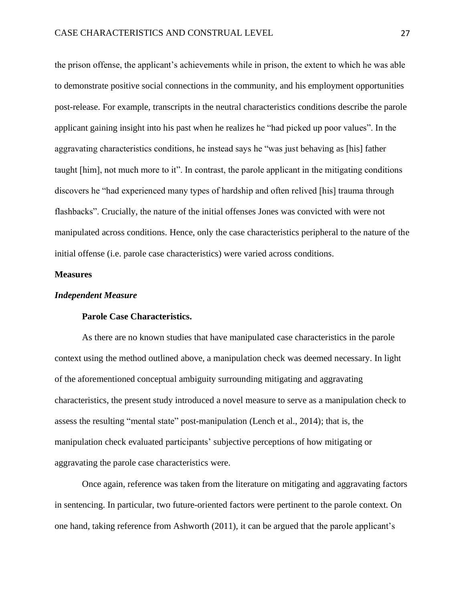the prison offense, the applicant's achievements while in prison, the extent to which he was able to demonstrate positive social connections in the community, and his employment opportunities post-release. For example, transcripts in the neutral characteristics conditions describe the parole applicant gaining insight into his past when he realizes he "had picked up poor values". In the aggravating characteristics conditions, he instead says he "was just behaving as [his] father taught [him], not much more to it". In contrast, the parole applicant in the mitigating conditions discovers he "had experienced many types of hardship and often relived [his] trauma through flashbacks". Crucially, the nature of the initial offenses Jones was convicted with were not manipulated across conditions. Hence, only the case characteristics peripheral to the nature of the initial offense (i.e. parole case characteristics) were varied across conditions.

#### **Measures**

### *Independent Measure*

# **Parole Case Characteristics.**

As there are no known studies that have manipulated case characteristics in the parole context using the method outlined above, a manipulation check was deemed necessary. In light of the aforementioned conceptual ambiguity surrounding mitigating and aggravating characteristics, the present study introduced a novel measure to serve as a manipulation check to assess the resulting "mental state" post-manipulation (Lench et al., 2014); that is, the manipulation check evaluated participants' subjective perceptions of how mitigating or aggravating the parole case characteristics were.

Once again, reference was taken from the literature on mitigating and aggravating factors in sentencing. In particular, two future-oriented factors were pertinent to the parole context. On one hand, taking reference from Ashworth (2011), it can be argued that the parole applicant's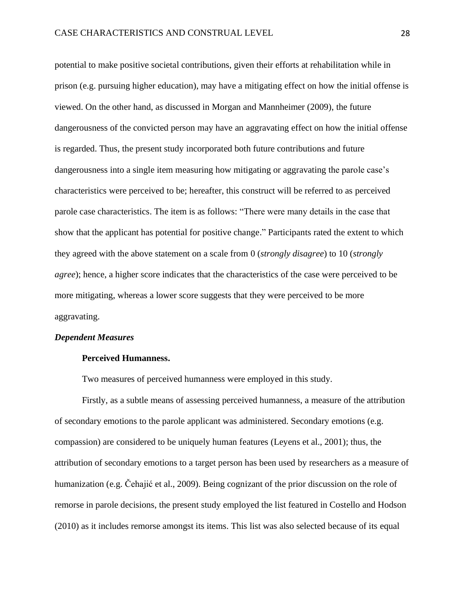potential to make positive societal contributions, given their efforts at rehabilitation while in prison (e.g. pursuing higher education), may have a mitigating effect on how the initial offense is viewed. On the other hand, as discussed in Morgan and Mannheimer (2009), the future dangerousness of the convicted person may have an aggravating effect on how the initial offense is regarded. Thus, the present study incorporated both future contributions and future dangerousness into a single item measuring how mitigating or aggravating the parole case's characteristics were perceived to be; hereafter, this construct will be referred to as perceived parole case characteristics. The item is as follows: "There were many details in the case that show that the applicant has potential for positive change." Participants rated the extent to which they agreed with the above statement on a scale from 0 (*strongly disagree*) to 10 (*strongly agree*); hence, a higher score indicates that the characteristics of the case were perceived to be more mitigating, whereas a lower score suggests that they were perceived to be more aggravating.

# *Dependent Measures*

### **Perceived Humanness.**

Two measures of perceived humanness were employed in this study.

Firstly, as a subtle means of assessing perceived humanness, a measure of the attribution of secondary emotions to the parole applicant was administered. Secondary emotions (e.g. compassion) are considered to be uniquely human features (Leyens et al., 2001); thus, the attribution of secondary emotions to a target person has been used by researchers as a measure of humanization (e.g. Čehajić et al., 2009). Being cognizant of the prior discussion on the role of remorse in parole decisions, the present study employed the list featured in Costello and Hodson (2010) as it includes remorse amongst its items. This list was also selected because of its equal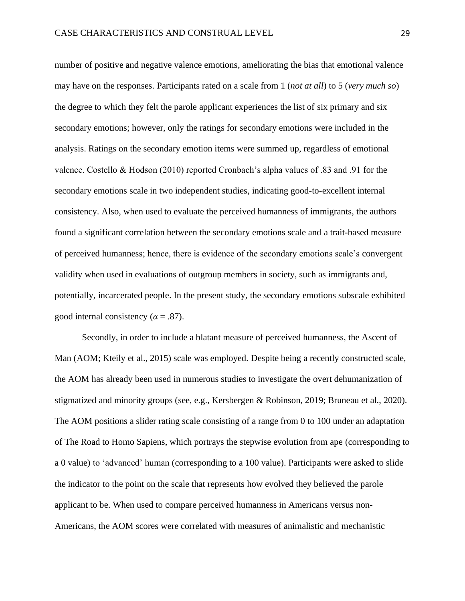number of positive and negative valence emotions, ameliorating the bias that emotional valence may have on the responses. Participants rated on a scale from 1 (*not at all*) to 5 (*very much so*) the degree to which they felt the parole applicant experiences the list of six primary and six secondary emotions; however, only the ratings for secondary emotions were included in the analysis. Ratings on the secondary emotion items were summed up, regardless of emotional valence. Costello & Hodson (2010) reported Cronbach's alpha values of .83 and .91 for the secondary emotions scale in two independent studies, indicating good-to-excellent internal consistency. Also, when used to evaluate the perceived humanness of immigrants, the authors found a significant correlation between the secondary emotions scale and a trait-based measure of perceived humanness; hence, there is evidence of the secondary emotions scale's convergent validity when used in evaluations of outgroup members in society, such as immigrants and, potentially, incarcerated people. In the present study, the secondary emotions subscale exhibited good internal consistency ( $\alpha$  = .87).

Secondly, in order to include a blatant measure of perceived humanness, the Ascent of Man (AOM; Kteily et al., 2015) scale was employed. Despite being a recently constructed scale, the AOM has already been used in numerous studies to investigate the overt dehumanization of stigmatized and minority groups (see, e.g., Kersbergen & Robinson, 2019; Bruneau et al., 2020). The AOM positions a slider rating scale consisting of a range from 0 to 100 under an adaptation of The Road to Homo Sapiens, which portrays the stepwise evolution from ape (corresponding to a 0 value) to 'advanced' human (corresponding to a 100 value). Participants were asked to slide the indicator to the point on the scale that represents how evolved they believed the parole applicant to be. When used to compare perceived humanness in Americans versus non-Americans, the AOM scores were correlated with measures of animalistic and mechanistic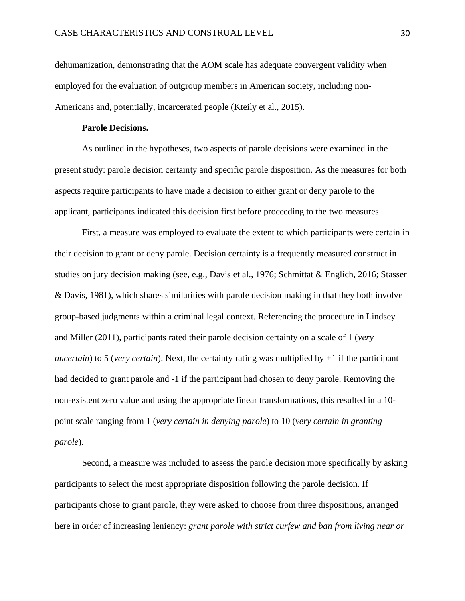dehumanization, demonstrating that the AOM scale has adequate convergent validity when employed for the evaluation of outgroup members in American society, including non-Americans and, potentially, incarcerated people (Kteily et al., 2015).

### **Parole Decisions.**

As outlined in the hypotheses, two aspects of parole decisions were examined in the present study: parole decision certainty and specific parole disposition. As the measures for both aspects require participants to have made a decision to either grant or deny parole to the applicant, participants indicated this decision first before proceeding to the two measures.

First, a measure was employed to evaluate the extent to which participants were certain in their decision to grant or deny parole. Decision certainty is a frequently measured construct in studies on jury decision making (see, e.g., Davis et al., 1976; Schmittat & Englich, 2016; Stasser & Davis, 1981), which shares similarities with parole decision making in that they both involve group-based judgments within a criminal legal context. Referencing the procedure in Lindsey and Miller (2011), participants rated their parole decision certainty on a scale of 1 (*very uncertain*) to 5 (*very certain*). Next, the certainty rating was multiplied by +1 if the participant had decided to grant parole and -1 if the participant had chosen to deny parole. Removing the non-existent zero value and using the appropriate linear transformations, this resulted in a 10 point scale ranging from 1 (*very certain in denying parole*) to 10 (*very certain in granting parole*).

Second, a measure was included to assess the parole decision more specifically by asking participants to select the most appropriate disposition following the parole decision. If participants chose to grant parole, they were asked to choose from three dispositions, arranged here in order of increasing leniency: *grant parole with strict curfew and ban from living near or*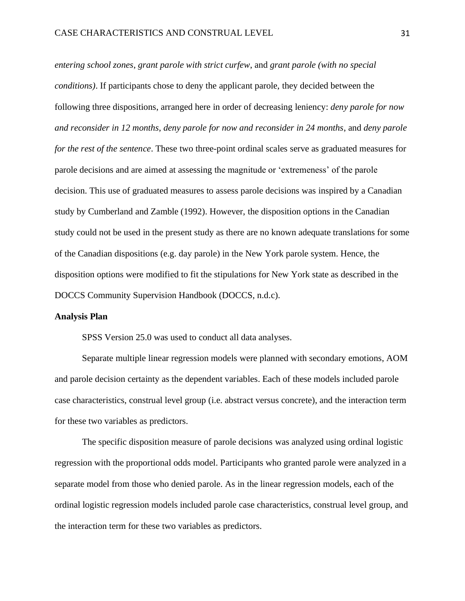*entering school zones*, *grant parole with strict curfew*, and *grant parole (with no special conditions)*. If participants chose to deny the applicant parole, they decided between the following three dispositions, arranged here in order of decreasing leniency: *deny parole for now and reconsider in 12 months*, *deny parole for now and reconsider in 24 months*, and *deny parole for the rest of the sentence*. These two three-point ordinal scales serve as graduated measures for parole decisions and are aimed at assessing the magnitude or 'extremeness' of the parole decision. This use of graduated measures to assess parole decisions was inspired by a Canadian study by Cumberland and Zamble (1992). However, the disposition options in the Canadian study could not be used in the present study as there are no known adequate translations for some of the Canadian dispositions (e.g. day parole) in the New York parole system. Hence, the disposition options were modified to fit the stipulations for New York state as described in the DOCCS Community Supervision Handbook (DOCCS, n.d.c).

#### **Analysis Plan**

SPSS Version 25.0 was used to conduct all data analyses.

Separate multiple linear regression models were planned with secondary emotions, AOM and parole decision certainty as the dependent variables. Each of these models included parole case characteristics, construal level group (i.e. abstract versus concrete), and the interaction term for these two variables as predictors.

The specific disposition measure of parole decisions was analyzed using ordinal logistic regression with the proportional odds model. Participants who granted parole were analyzed in a separate model from those who denied parole. As in the linear regression models, each of the ordinal logistic regression models included parole case characteristics, construal level group, and the interaction term for these two variables as predictors.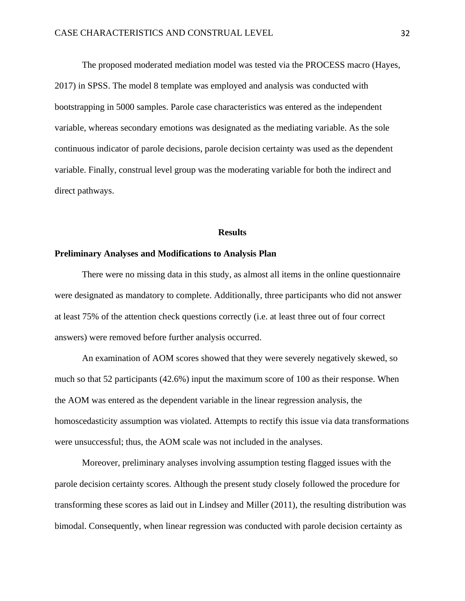The proposed moderated mediation model was tested via the PROCESS macro (Hayes, 2017) in SPSS. The model 8 template was employed and analysis was conducted with bootstrapping in 5000 samples. Parole case characteristics was entered as the independent variable, whereas secondary emotions was designated as the mediating variable. As the sole continuous indicator of parole decisions, parole decision certainty was used as the dependent variable. Finally, construal level group was the moderating variable for both the indirect and direct pathways.

#### **Results**

### **Preliminary Analyses and Modifications to Analysis Plan**

There were no missing data in this study, as almost all items in the online questionnaire were designated as mandatory to complete. Additionally, three participants who did not answer at least 75% of the attention check questions correctly (i.e. at least three out of four correct answers) were removed before further analysis occurred.

An examination of AOM scores showed that they were severely negatively skewed, so much so that 52 participants (42.6%) input the maximum score of 100 as their response. When the AOM was entered as the dependent variable in the linear regression analysis, the homoscedasticity assumption was violated. Attempts to rectify this issue via data transformations were unsuccessful; thus, the AOM scale was not included in the analyses.

Moreover, preliminary analyses involving assumption testing flagged issues with the parole decision certainty scores. Although the present study closely followed the procedure for transforming these scores as laid out in Lindsey and Miller (2011), the resulting distribution was bimodal. Consequently, when linear regression was conducted with parole decision certainty as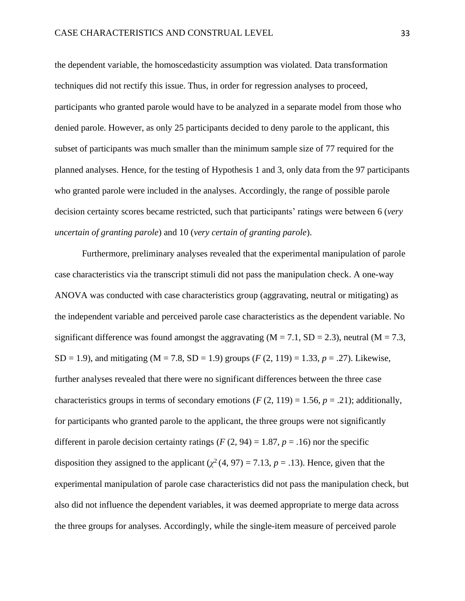the dependent variable, the homoscedasticity assumption was violated. Data transformation techniques did not rectify this issue. Thus, in order for regression analyses to proceed, participants who granted parole would have to be analyzed in a separate model from those who denied parole. However, as only 25 participants decided to deny parole to the applicant, this subset of participants was much smaller than the minimum sample size of 77 required for the planned analyses. Hence, for the testing of Hypothesis 1 and 3, only data from the 97 participants who granted parole were included in the analyses. Accordingly, the range of possible parole decision certainty scores became restricted, such that participants' ratings were between 6 (*very uncertain of granting parole*) and 10 (*very certain of granting parole*).

Furthermore, preliminary analyses revealed that the experimental manipulation of parole case characteristics via the transcript stimuli did not pass the manipulation check. A one-way ANOVA was conducted with case characteristics group (aggravating, neutral or mitigating) as the independent variable and perceived parole case characteristics as the dependent variable. No significant difference was found amongst the aggravating  $(M = 7.1, SD = 2.3)$ , neutral  $(M = 7.3,$  $SD = 1.9$ ), and mitigating (M = 7.8, SD = 1.9) groups (*F* (2, 119) = 1.33, *p* = .27). Likewise, further analyses revealed that there were no significant differences between the three case characteristics groups in terms of secondary emotions ( $F(2, 119) = 1.56$ ,  $p = .21$ ); additionally, for participants who granted parole to the applicant, the three groups were not significantly different in parole decision certainty ratings  $(F(2, 94) = 1.87, p = .16)$  nor the specific disposition they assigned to the applicant  $(\chi^2(4, 97) = 7.13, p = .13)$ . Hence, given that the experimental manipulation of parole case characteristics did not pass the manipulation check, but also did not influence the dependent variables, it was deemed appropriate to merge data across the three groups for analyses. Accordingly, while the single-item measure of perceived parole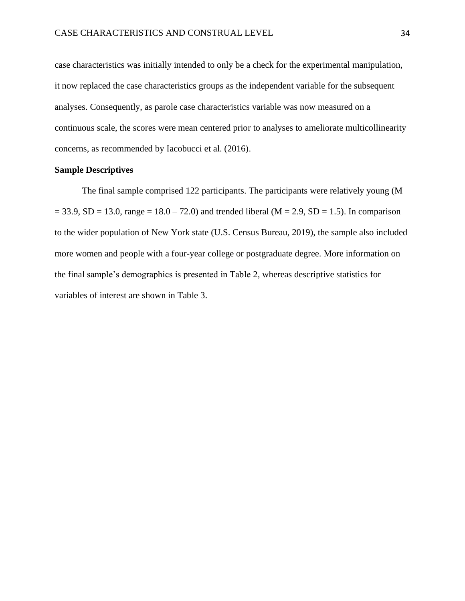case characteristics was initially intended to only be a check for the experimental manipulation, it now replaced the case characteristics groups as the independent variable for the subsequent analyses. Consequently, as parole case characteristics variable was now measured on a continuous scale, the scores were mean centered prior to analyses to ameliorate multicollinearity concerns, as recommended by Iacobucci et al. (2016).

#### **Sample Descriptives**

The final sample comprised 122 participants. The participants were relatively young (M  $= 33.9, SD = 13.0, range = 18.0 - 72.0$  and trended liberal (M = 2.9, SD = 1.5). In comparison to the wider population of New York state (U.S. Census Bureau, 2019), the sample also included more women and people with a four-year college or postgraduate degree. More information on the final sample's demographics is presented in Table 2, whereas descriptive statistics for variables of interest are shown in Table 3.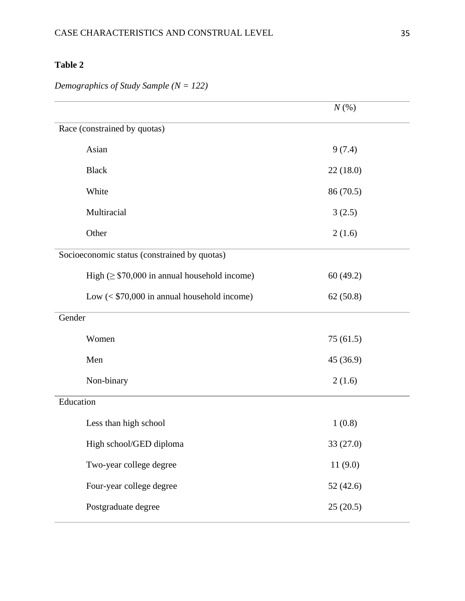# **Table 2**

|                                                   | $N(\%)$   |  |
|---------------------------------------------------|-----------|--|
| Race (constrained by quotas)                      |           |  |
| Asian                                             | 9(7.4)    |  |
| <b>Black</b>                                      | 22(18.0)  |  |
| White                                             | 86 (70.5) |  |
| Multiracial                                       | 3(2.5)    |  |
| Other                                             | 2(1.6)    |  |
| Socioeconomic status (constrained by quotas)      |           |  |
| High $(\geq$ \$70,000 in annual household income) | 60(49.2)  |  |
| Low $(<$ \$70,000 in annual household income)     | 62(50.8)  |  |
| Gender                                            |           |  |
| Women                                             | 75(61.5)  |  |
| Men                                               | 45 (36.9) |  |
| Non-binary                                        | 2(1.6)    |  |
| Education                                         |           |  |
| Less than high school                             | 1(0.8)    |  |
| High school/GED diploma                           | 33 (27.0) |  |
| Two-year college degree                           | 11(9.0)   |  |
| Four-year college degree                          | 52(42.6)  |  |
| Postgraduate degree                               | 25(20.5)  |  |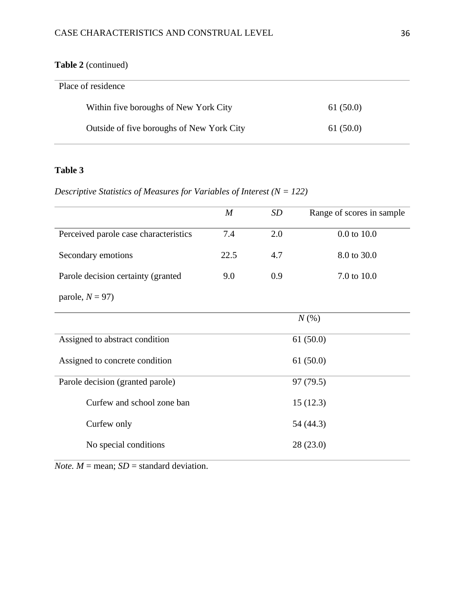# **Table 2** (continued)

| Place of residence                        |          |
|-------------------------------------------|----------|
| Within five boroughs of New York City     | 61(50.0) |
| Outside of five boroughs of New York City | 61(50.0) |

# **Table 3**

*Descriptive Statistics of Measures for Variables of Interest (N = 122)*

|                                       | $\boldsymbol{M}$ | SD  | Range of scores in sample |
|---------------------------------------|------------------|-----|---------------------------|
| Perceived parole case characteristics | 7.4              | 2.0 | $0.0$ to $10.0$           |
| Secondary emotions                    | 22.5             | 4.7 | 8.0 to 30.0               |
| Parole decision certainty (granted    | 9.0              | 0.9 | 7.0 to 10.0               |
| parole, $N = 97$ )                    |                  |     |                           |
|                                       |                  |     | $N(\%)$                   |
| Assigned to abstract condition        |                  |     | 61(50.0)                  |
| Assigned to concrete condition        |                  |     | 61(50.0)                  |
| Parole decision (granted parole)      |                  |     | 97 (79.5)                 |
| Curfew and school zone ban            |                  |     | 15(12.3)                  |
| Curfew only                           |                  |     | 54 (44.3)                 |
| No special conditions                 | 28 (23.0)        |     |                           |

*Note.*  $M = \text{mean}$ ;  $SD = \text{standard deviation}$ .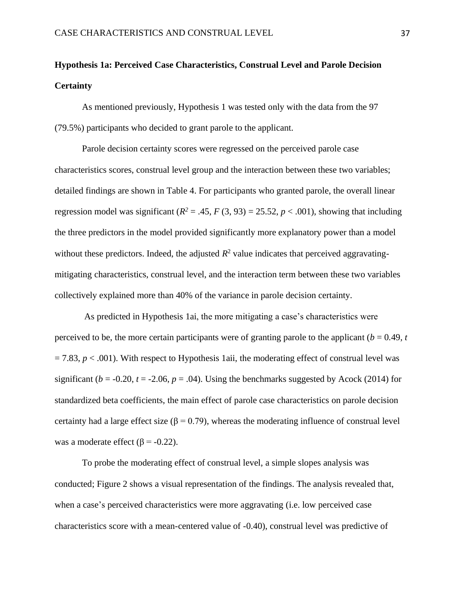# **Hypothesis 1a: Perceived Case Characteristics, Construal Level and Parole Decision Certainty**

As mentioned previously, Hypothesis 1 was tested only with the data from the 97 (79.5%) participants who decided to grant parole to the applicant.

Parole decision certainty scores were regressed on the perceived parole case characteristics scores, construal level group and the interaction between these two variables; detailed findings are shown in Table 4. For participants who granted parole, the overall linear regression model was significant  $(R^2 = .45, F(3, 93) = 25.52, p < .001)$ , showing that including the three predictors in the model provided significantly more explanatory power than a model without these predictors. Indeed, the adjusted  $R^2$  value indicates that perceived aggravatingmitigating characteristics, construal level, and the interaction term between these two variables collectively explained more than 40% of the variance in parole decision certainty.

As predicted in Hypothesis 1ai, the more mitigating a case's characteristics were perceived to be, the more certain participants were of granting parole to the applicant ( $b = 0.49$ ,  $t = 0.49$ )  $= 7.83$ ,  $p < .001$ ). With respect to Hypothesis 1aii, the moderating effect of construal level was significant ( $b = -0.20$ ,  $t = -2.06$ ,  $p = .04$ ). Using the benchmarks suggested by Acock (2014) for standardized beta coefficients, the main effect of parole case characteristics on parole decision certainty had a large effect size ( $\beta$  = 0.79), whereas the moderating influence of construal level was a moderate effect ( $\beta$  = -0.22).

To probe the moderating effect of construal level, a simple slopes analysis was conducted; Figure 2 shows a visual representation of the findings. The analysis revealed that, when a case's perceived characteristics were more aggravating (i.e. low perceived case characteristics score with a mean-centered value of -0.40), construal level was predictive of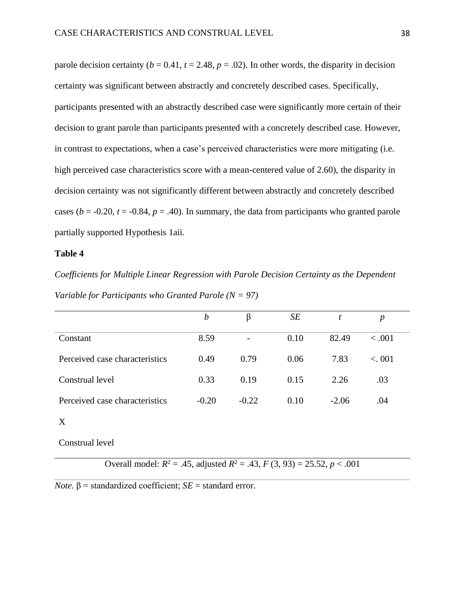parole decision certainty ( $b = 0.41$ ,  $t = 2.48$ ,  $p = .02$ ). In other words, the disparity in decision certainty was significant between abstractly and concretely described cases. Specifically, participants presented with an abstractly described case were significantly more certain of their decision to grant parole than participants presented with a concretely described case. However, in contrast to expectations, when a case's perceived characteristics were more mitigating (i.e. high perceived case characteristics score with a mean-centered value of 2.60), the disparity in decision certainty was not significantly different between abstractly and concretely described cases ( $b = -0.20$ ,  $t = -0.84$ ,  $p = .40$ ). In summary, the data from participants who granted parole partially supported Hypothesis 1aii.

#### **Table 4**

*Coefficients for Multiple Linear Regression with Parole Decision Certainty as the Dependent Variable for Participants who Granted Parole (N = 97)*

|                                | $\boldsymbol{b}$ | β                        | SE   | t       | $\boldsymbol{p}$ |
|--------------------------------|------------------|--------------------------|------|---------|------------------|
| Constant                       | 8.59             | $\overline{\phantom{0}}$ | 0.10 | 82.49   | < .001           |
| Perceived case characteristics | 0.49             | 0.79                     | 0.06 | 7.83    | < 0.01           |
| Construal level                | 0.33             | 0.19                     | 0.15 | 2.26    | .03              |
| Perceived case characteristics | $-0.20$          | $-0.22$                  | 0.10 | $-2.06$ | .04              |
| X                              |                  |                          |      |         |                  |

Construal level

Overall model:  $R^2 = .45$ , adjusted  $R^2 = .43$ ,  $F(3, 93) = 25.52$ ,  $p < .001$ 

 $\overline{Note.}$   $\beta$  = standardized coefficient;  $\overline{SE}$  = standard error.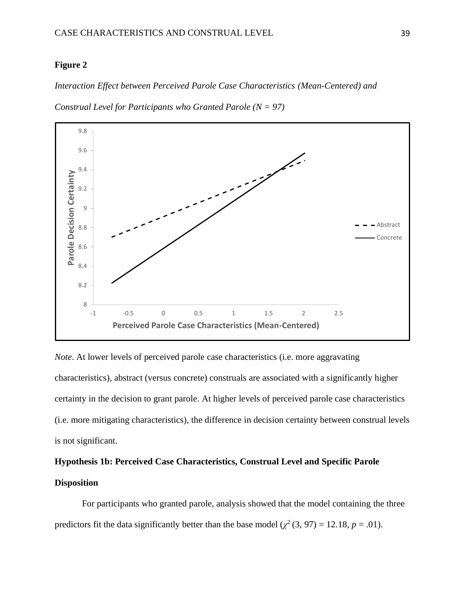### **Figure 2**

## *Interaction Effect between Perceived Parole Case Characteristics (Mean-Centered) and*



*Construal Level for Participants who Granted Parole (N = 97)*

*Note*. At lower levels of perceived parole case characteristics (i.e. more aggravating characteristics), abstract (versus concrete) construals are associated with a significantly higher certainty in the decision to grant parole. At higher levels of perceived parole case characteristics (i.e. more mitigating characteristics), the difference in decision certainty between construal levels is not significant.

# **Hypothesis 1b: Perceived Case Characteristics, Construal Level and Specific Parole Disposition**

For participants who granted parole, analysis showed that the model containing the three predictors fit the data significantly better than the base model  $(\chi^2(3, 97) = 12.18, p = .01)$ .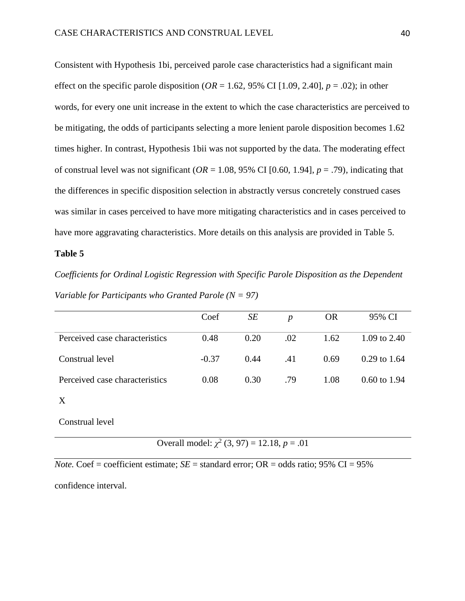Consistent with Hypothesis 1bi, perceived parole case characteristics had a significant main effect on the specific parole disposition ( $OR = 1.62$ , 95% CI [1.09, 2.40],  $p = .02$ ); in other words, for every one unit increase in the extent to which the case characteristics are perceived to be mitigating, the odds of participants selecting a more lenient parole disposition becomes 1.62 times higher. In contrast, Hypothesis 1bii was not supported by the data. The moderating effect of construal level was not significant ( $OR = 1.08$ , 95% CI [0.60, 1.94],  $p = .79$ ), indicating that the differences in specific disposition selection in abstractly versus concretely construed cases was similar in cases perceived to have more mitigating characteristics and in cases perceived to have more aggravating characteristics. More details on this analysis are provided in Table 5.

#### **Table 5**

*Coefficients for Ordinal Logistic Regression with Specific Parole Disposition as the Dependent Variable for Participants who Granted Parole (N = 97)*

|                                | Coef    | SE   | $\boldsymbol{p}$ | <b>OR</b> | 95% CI                  |
|--------------------------------|---------|------|------------------|-----------|-------------------------|
| Perceived case characteristics | 0.48    | 0.20 | .02              | 1.62      | 1.09 to $2.40$          |
| Construal level                | $-0.37$ | 0.44 | .41              | 0.69      | $0.29$ to 1.64          |
| Perceived case characteristics | 0.08    | 0.30 | .79              | 1.08      | $0.60 \text{ to } 1.94$ |
|                                |         |      |                  |           |                         |

Construal level

Overall model:  $\chi^2$  (3, 97) = 12.18, *p* = .01

*Note.* Coef = coefficient estimate;  $SE =$  standard error;  $OR =$  odds ratio; 95% CI = 95%

confidence interval.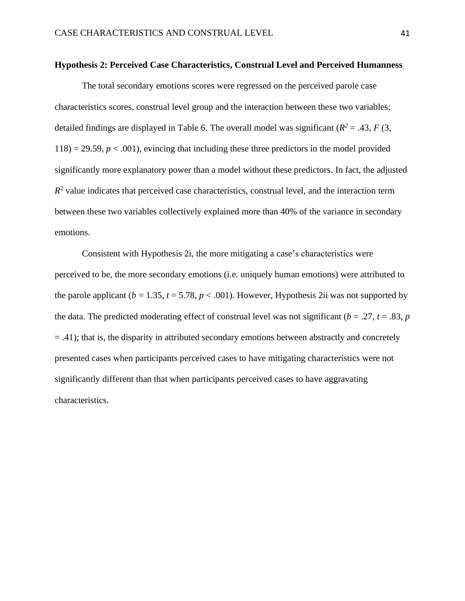#### **Hypothesis 2: Perceived Case Characteristics, Construal Level and Perceived Humanness**

The total secondary emotions scores were regressed on the perceived parole case characteristics scores, construal level group and the interaction between these two variables; detailed findings are displayed in Table 6. The overall model was significant ( $R^2 = .43, F(3, )$  $118$  = 29.59,  $p < .001$ ), evincing that including these three predictors in the model provided significantly more explanatory power than a model without these predictors. In fact, the adjusted  $R<sup>2</sup>$  value indicates that perceived case characteristics, construal level, and the interaction term between these two variables collectively explained more than 40% of the variance in secondary emotions.

Consistent with Hypothesis 2i, the more mitigating a case's characteristics were perceived to be, the more secondary emotions (i.e. uniquely human emotions) were attributed to the parole applicant ( $b = 1.35$ ,  $t = 5.78$ ,  $p < .001$ ). However, Hypothesis 2ii was not supported by the data. The predicted moderating effect of construal level was not significant ( $b = .27$ ,  $t = .83$ ,  $p$ ) = .41); that is, the disparity in attributed secondary emotions between abstractly and concretely presented cases when participants perceived cases to have mitigating characteristics were not significantly different than that when participants perceived cases to have aggravating characteristics.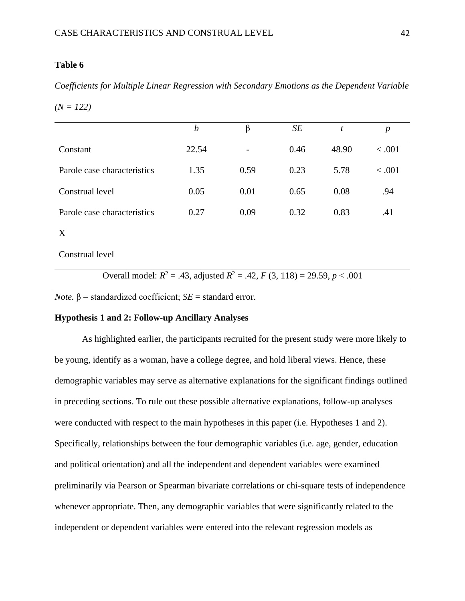# **Table 6**

*Coefficients for Multiple Linear Regression with Secondary Emotions as the Dependent Variable* 

*(N = 122)*

|                             | b     | β                        | SE   | t     | p       |
|-----------------------------|-------|--------------------------|------|-------|---------|
| Constant                    | 22.54 | $\overline{\phantom{a}}$ | 0.46 | 48.90 | < 0.001 |
| Parole case characteristics | 1.35  | 0.59                     | 0.23 | 5.78  | < .001  |
| Construal level             | 0.05  | 0.01                     | 0.65 | 0.08  | .94     |
| Parole case characteristics | 0.27  | 0.09                     | 0.32 | 0.83  | .41     |

## X

Construal level

Overall model:  $R^2 = .43$ , adjusted  $R^2 = .42$ ,  $F(3, 118) = 29.59$ ,  $p < .001$ 

*Note.*  $\beta$  = standardized coefficient; *SE* = standard error.

# **Hypothesis 1 and 2: Follow-up Ancillary Analyses**

As highlighted earlier, the participants recruited for the present study were more likely to be young, identify as a woman, have a college degree, and hold liberal views. Hence, these demographic variables may serve as alternative explanations for the significant findings outlined in preceding sections. To rule out these possible alternative explanations, follow-up analyses were conducted with respect to the main hypotheses in this paper (i.e. Hypotheses 1 and 2). Specifically, relationships between the four demographic variables (i.e. age, gender, education and political orientation) and all the independent and dependent variables were examined preliminarily via Pearson or Spearman bivariate correlations or chi-square tests of independence whenever appropriate. Then, any demographic variables that were significantly related to the independent or dependent variables were entered into the relevant regression models as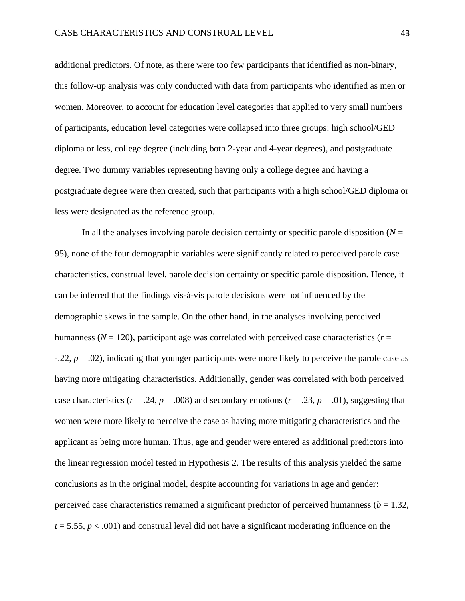additional predictors. Of note, as there were too few participants that identified as non-binary, this follow-up analysis was only conducted with data from participants who identified as men or women. Moreover, to account for education level categories that applied to very small numbers of participants, education level categories were collapsed into three groups: high school/GED diploma or less, college degree (including both 2-year and 4-year degrees), and postgraduate degree. Two dummy variables representing having only a college degree and having a postgraduate degree were then created, such that participants with a high school/GED diploma or less were designated as the reference group.

In all the analyses involving parole decision certainty or specific parole disposition  $(N =$ 95), none of the four demographic variables were significantly related to perceived parole case characteristics, construal level, parole decision certainty or specific parole disposition. Hence, it can be inferred that the findings vis-à-vis parole decisions were not influenced by the demographic skews in the sample. On the other hand, in the analyses involving perceived humanness ( $N = 120$ ), participant age was correlated with perceived case characteristics ( $r =$ -.22, *p* = .02), indicating that younger participants were more likely to perceive the parole case as having more mitigating characteristics. Additionally, gender was correlated with both perceived case characteristics ( $r = .24$ ,  $p = .008$ ) and secondary emotions ( $r = .23$ ,  $p = .01$ ), suggesting that women were more likely to perceive the case as having more mitigating characteristics and the applicant as being more human. Thus, age and gender were entered as additional predictors into the linear regression model tested in Hypothesis 2. The results of this analysis yielded the same conclusions as in the original model, despite accounting for variations in age and gender: perceived case characteristics remained a significant predictor of perceived humanness ( $b = 1.32$ ,  $t = 5.55$ ,  $p < .001$ ) and construal level did not have a significant moderating influence on the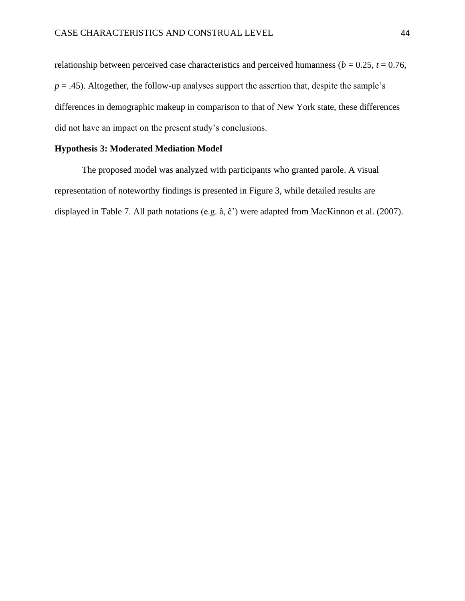relationship between perceived case characteristics and perceived humanness ( $b = 0.25$ ,  $t = 0.76$ ,  $p = .45$ ). Altogether, the follow-up analyses support the assertion that, despite the sample's differences in demographic makeup in comparison to that of New York state, these differences did not have an impact on the present study's conclusions.

## **Hypothesis 3: Moderated Mediation Model**

The proposed model was analyzed with participants who granted parole. A visual representation of noteworthy findings is presented in Figure 3, while detailed results are displayed in Table 7. All path notations (e.g. â, ĉ') were adapted from MacKinnon et al. (2007).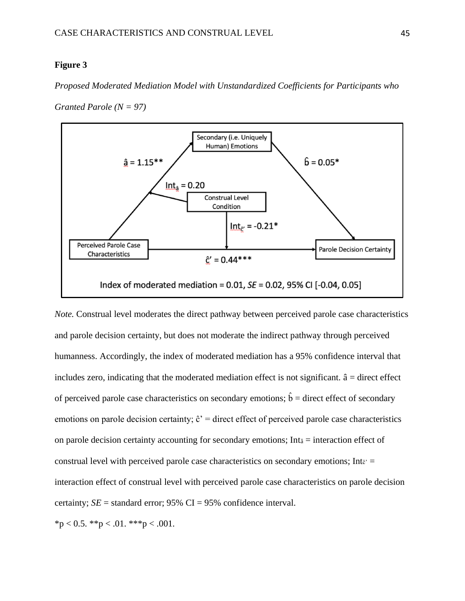#### **Figure 3**

*Proposed Moderated Mediation Model with Unstandardized Coefficients for Participants who* 

*Granted Parole (N = 97)*



*Note.* Construal level moderates the direct pathway between perceived parole case characteristics and parole decision certainty, but does not moderate the indirect pathway through perceived humanness. Accordingly, the index of moderated mediation has a 95% confidence interval that includes zero, indicating that the moderated mediation effect is not significant.  $\hat{a}$  = direct effect of perceived parole case characteristics on secondary emotions;  $\hat{b}$  = direct effect of secondary emotions on parole decision certainty;  $\hat{c}$ ' = direct effect of perceived parole case characteristics on parole decision certainty accounting for secondary emotions; Int $a =$  interaction effect of construal level with perceived parole case characteristics on secondary emotions; Int $\epsilon$ ' = interaction effect of construal level with perceived parole case characteristics on parole decision certainty;  $SE =$  standard error; 95% CI = 95% confidence interval.

 $*<sub>p</sub> < 0.5.$   $*<sub>p</sub> < 0.01.$   $*<sub>p</sub> < 0.001.$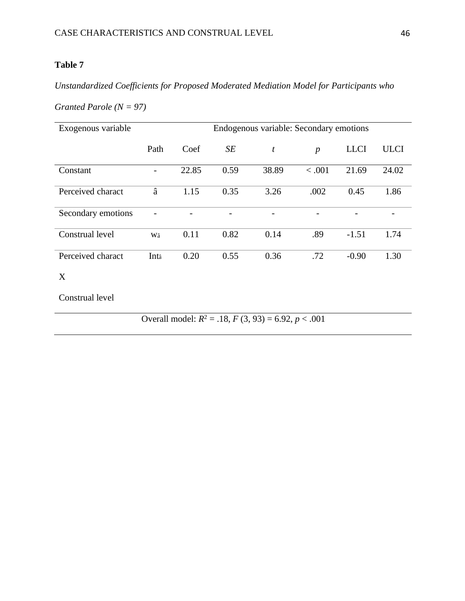# **Table 7**

*Unstandardized Coefficients for Proposed Moderated Mediation Model for Participants who* 

# *Granted Parole (N = 97)*

| Exogenous variable | Endogenous variable: Secondary emotions |       |      |       |                  |             |             |
|--------------------|-----------------------------------------|-------|------|-------|------------------|-------------|-------------|
|                    | Path                                    | Coef  | SE   | t     | $\boldsymbol{p}$ | <b>LLCI</b> | <b>ULCI</b> |
| Constant           |                                         | 22.85 | 0.59 | 38.89 | < .001           | 21.69       | 24.02       |
| Perceived charact  | â                                       | 1.15  | 0.35 | 3.26  | .002             | 0.45        | 1.86        |
| Secondary emotions |                                         |       |      |       |                  |             |             |
| Construal level    | Wâ                                      | 0.11  | 0.82 | 0.14  | .89              | $-1.51$     | 1.74        |
| Perceived charact  | Int <sub>â</sub>                        | 0.20  | 0.55 | 0.36  | .72              | $-0.90$     | 1.30        |
| X                  |                                         |       |      |       |                  |             |             |
| Construal level    |                                         |       |      |       |                  |             |             |

Overall model:  $R^2 = .18$ ,  $F(3, 93) = 6.92$ ,  $p < .001$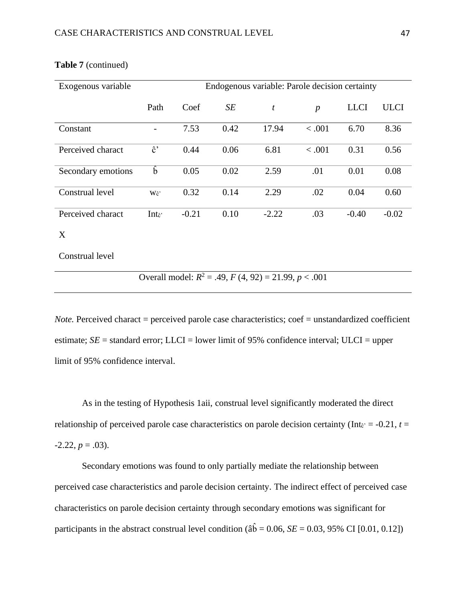| Exogenous variable | Endogenous variable: Parole decision certainty |         |      |         |                  |             |             |
|--------------------|------------------------------------------------|---------|------|---------|------------------|-------------|-------------|
|                    | Path                                           | Coef    | SE   | t       | $\boldsymbol{p}$ | <b>LLCI</b> | <b>ULCI</b> |
| Constant           |                                                | 7.53    | 0.42 | 17.94   | < .001           | 6.70        | 8.36        |
| Perceived charact  | $\hat{c}$ '                                    | 0.44    | 0.06 | 6.81    | < .001           | 0.31        | 0.56        |
| Secondary emotions | $\mathbf{b}$                                   | 0.05    | 0.02 | 2.59    | .01              | 0.01        | 0.08        |
| Construal level    | Wĉ'                                            | 0.32    | 0.14 | 2.29    | .02              | 0.04        | 0.60        |
| Perceived charact  | Int $\hat{c}$                                  | $-0.21$ | 0.10 | $-2.22$ | .03              | $-0.40$     | $-0.02$     |
| X                  |                                                |         |      |         |                  |             |             |

## **Table 7** (continued)

Construal level

Overall model:  $R^2 = .49$ ,  $F(4, 92) = 21.99$ ,  $p < .001$ 

*Note.* Perceived charact = perceived parole case characteristics; coef = unstandardized coefficient estimate;  $SE =$  standard error; LLCI = lower limit of 95% confidence interval; ULCI = upper limit of 95% confidence interval.

As in the testing of Hypothesis 1aii, construal level significantly moderated the direct relationship of perceived parole case characteristics on parole decision certainty (Int $\varepsilon$ ' = -0.21, *t* =  $-2.22, p = .03$ ).

Secondary emotions was found to only partially mediate the relationship between perceived case characteristics and parole decision certainty. The indirect effect of perceived case characteristics on parole decision certainty through secondary emotions was significant for participants in the abstract construal level condition ( $\hat{a}\hat{b} = 0.06$ , *SE* = 0.03, 95% CI [0.01, 0.12])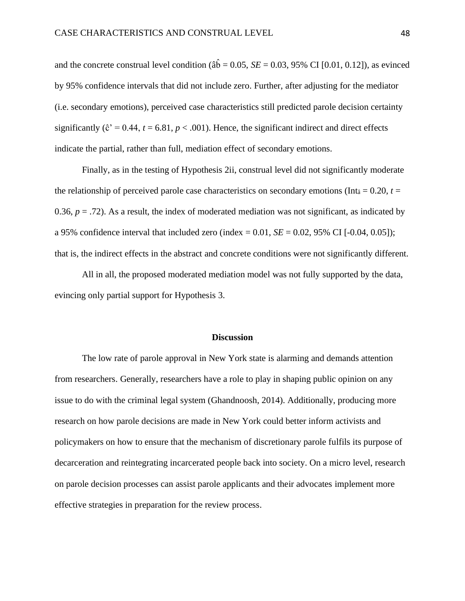and the concrete construal level condition ( $\hat{a}\hat{b} = 0.05$ ,  $SE = 0.03$ , 95% CI [0.01, 0.12]), as evinced by 95% confidence intervals that did not include zero. Further, after adjusting for the mediator (i.e. secondary emotions), perceived case characteristics still predicted parole decision certainty significantly ( $\hat{c}$ <sup> $\dot{c}$ </sup> = 0.44,  $t$  = 6.81,  $p$  < .001). Hence, the significant indirect and direct effects indicate the partial, rather than full, mediation effect of secondary emotions.

Finally, as in the testing of Hypothesis 2ii, construal level did not significantly moderate the relationship of perceived parole case characteristics on secondary emotions (Int<sub>â</sub> = 0.20, *t* = 0.36,  $p = .72$ ). As a result, the index of moderated mediation was not significant, as indicated by a 95% confidence interval that included zero (index  $= 0.01$ ,  $SE = 0.02$ , 95% CI [-0.04, 0.05]); that is, the indirect effects in the abstract and concrete conditions were not significantly different.

All in all, the proposed moderated mediation model was not fully supported by the data, evincing only partial support for Hypothesis 3.

#### **Discussion**

The low rate of parole approval in New York state is alarming and demands attention from researchers. Generally, researchers have a role to play in shaping public opinion on any issue to do with the criminal legal system (Ghandnoosh, 2014). Additionally, producing more research on how parole decisions are made in New York could better inform activists and policymakers on how to ensure that the mechanism of discretionary parole fulfils its purpose of decarceration and reintegrating incarcerated people back into society. On a micro level, research on parole decision processes can assist parole applicants and their advocates implement more effective strategies in preparation for the review process.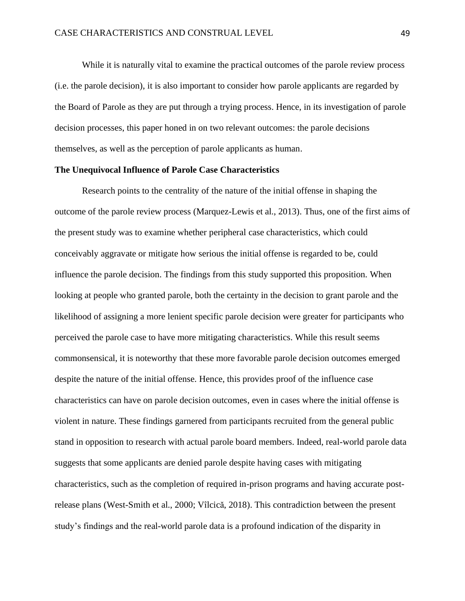While it is naturally vital to examine the practical outcomes of the parole review process (i.e. the parole decision), it is also important to consider how parole applicants are regarded by the Board of Parole as they are put through a trying process. Hence, in its investigation of parole decision processes, this paper honed in on two relevant outcomes: the parole decisions themselves, as well as the perception of parole applicants as human.

#### **The Unequivocal Influence of Parole Case Characteristics**

Research points to the centrality of the nature of the initial offense in shaping the outcome of the parole review process (Marquez-Lewis et al., 2013). Thus, one of the first aims of the present study was to examine whether peripheral case characteristics, which could conceivably aggravate or mitigate how serious the initial offense is regarded to be, could influence the parole decision. The findings from this study supported this proposition. When looking at people who granted parole, both the certainty in the decision to grant parole and the likelihood of assigning a more lenient specific parole decision were greater for participants who perceived the parole case to have more mitigating characteristics. While this result seems commonsensical, it is noteworthy that these more favorable parole decision outcomes emerged despite the nature of the initial offense. Hence, this provides proof of the influence case characteristics can have on parole decision outcomes, even in cases where the initial offense is violent in nature. These findings garnered from participants recruited from the general public stand in opposition to research with actual parole board members. Indeed, real-world parole data suggests that some applicants are denied parole despite having cases with mitigating characteristics, such as the completion of required in-prison programs and having accurate postrelease plans (West-Smith et al., 2000; Vîlcică, 2018). This contradiction between the present study's findings and the real-world parole data is a profound indication of the disparity in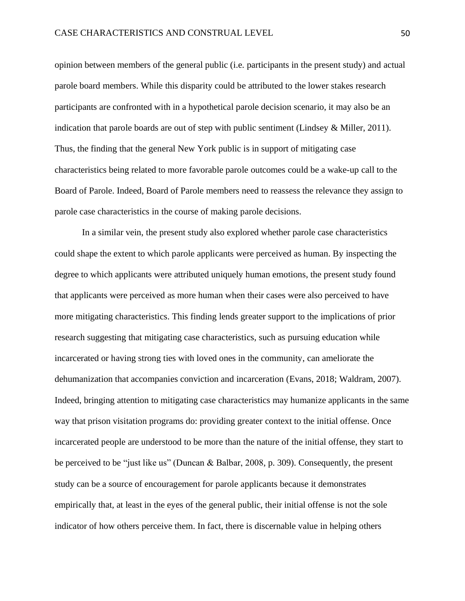opinion between members of the general public (i.e. participants in the present study) and actual parole board members. While this disparity could be attributed to the lower stakes research participants are confronted with in a hypothetical parole decision scenario, it may also be an indication that parole boards are out of step with public sentiment (Lindsey  $\&$  Miller, 2011). Thus, the finding that the general New York public is in support of mitigating case characteristics being related to more favorable parole outcomes could be a wake-up call to the Board of Parole. Indeed, Board of Parole members need to reassess the relevance they assign to parole case characteristics in the course of making parole decisions.

In a similar vein, the present study also explored whether parole case characteristics could shape the extent to which parole applicants were perceived as human. By inspecting the degree to which applicants were attributed uniquely human emotions, the present study found that applicants were perceived as more human when their cases were also perceived to have more mitigating characteristics. This finding lends greater support to the implications of prior research suggesting that mitigating case characteristics, such as pursuing education while incarcerated or having strong ties with loved ones in the community, can ameliorate the dehumanization that accompanies conviction and incarceration (Evans, 2018; Waldram, 2007). Indeed, bringing attention to mitigating case characteristics may humanize applicants in the same way that prison visitation programs do: providing greater context to the initial offense. Once incarcerated people are understood to be more than the nature of the initial offense, they start to be perceived to be "just like us" (Duncan & Balbar, 2008, p. 309). Consequently, the present study can be a source of encouragement for parole applicants because it demonstrates empirically that, at least in the eyes of the general public, their initial offense is not the sole indicator of how others perceive them. In fact, there is discernable value in helping others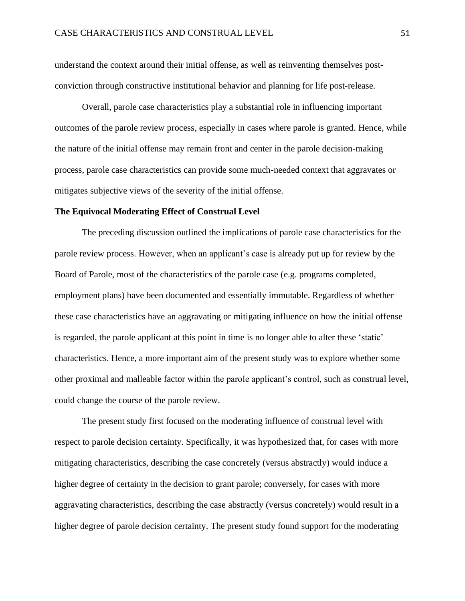understand the context around their initial offense, as well as reinventing themselves postconviction through constructive institutional behavior and planning for life post-release.

Overall, parole case characteristics play a substantial role in influencing important outcomes of the parole review process, especially in cases where parole is granted. Hence, while the nature of the initial offense may remain front and center in the parole decision-making process, parole case characteristics can provide some much-needed context that aggravates or mitigates subjective views of the severity of the initial offense.

#### **The Equivocal Moderating Effect of Construal Level**

The preceding discussion outlined the implications of parole case characteristics for the parole review process. However, when an applicant's case is already put up for review by the Board of Parole, most of the characteristics of the parole case (e.g. programs completed, employment plans) have been documented and essentially immutable. Regardless of whether these case characteristics have an aggravating or mitigating influence on how the initial offense is regarded, the parole applicant at this point in time is no longer able to alter these 'static' characteristics. Hence, a more important aim of the present study was to explore whether some other proximal and malleable factor within the parole applicant's control, such as construal level, could change the course of the parole review.

The present study first focused on the moderating influence of construal level with respect to parole decision certainty. Specifically, it was hypothesized that, for cases with more mitigating characteristics, describing the case concretely (versus abstractly) would induce a higher degree of certainty in the decision to grant parole; conversely, for cases with more aggravating characteristics, describing the case abstractly (versus concretely) would result in a higher degree of parole decision certainty. The present study found support for the moderating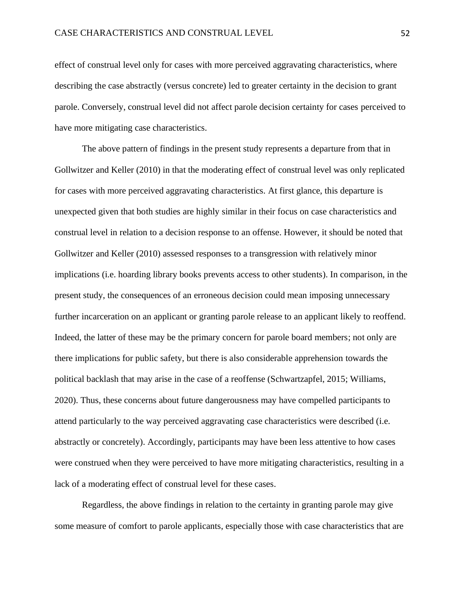effect of construal level only for cases with more perceived aggravating characteristics, where describing the case abstractly (versus concrete) led to greater certainty in the decision to grant parole. Conversely, construal level did not affect parole decision certainty for cases perceived to have more mitigating case characteristics.

The above pattern of findings in the present study represents a departure from that in Gollwitzer and Keller (2010) in that the moderating effect of construal level was only replicated for cases with more perceived aggravating characteristics. At first glance, this departure is unexpected given that both studies are highly similar in their focus on case characteristics and construal level in relation to a decision response to an offense. However, it should be noted that Gollwitzer and Keller (2010) assessed responses to a transgression with relatively minor implications (i.e. hoarding library books prevents access to other students). In comparison, in the present study, the consequences of an erroneous decision could mean imposing unnecessary further incarceration on an applicant or granting parole release to an applicant likely to reoffend. Indeed, the latter of these may be the primary concern for parole board members; not only are there implications for public safety, but there is also considerable apprehension towards the political backlash that may arise in the case of a reoffense (Schwartzapfel, 2015; Williams, 2020). Thus, these concerns about future dangerousness may have compelled participants to attend particularly to the way perceived aggravating case characteristics were described (i.e. abstractly or concretely). Accordingly, participants may have been less attentive to how cases were construed when they were perceived to have more mitigating characteristics, resulting in a lack of a moderating effect of construal level for these cases.

Regardless, the above findings in relation to the certainty in granting parole may give some measure of comfort to parole applicants, especially those with case characteristics that are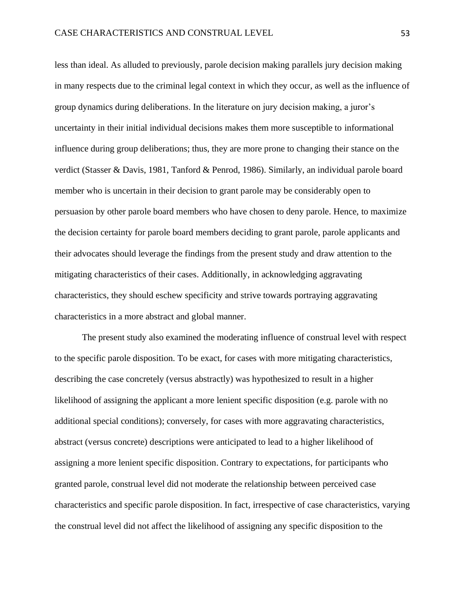less than ideal. As alluded to previously, parole decision making parallels jury decision making in many respects due to the criminal legal context in which they occur, as well as the influence of group dynamics during deliberations. In the literature on jury decision making, a juror's uncertainty in their initial individual decisions makes them more susceptible to informational influence during group deliberations; thus, they are more prone to changing their stance on the verdict (Stasser & Davis, 1981, Tanford & Penrod, 1986). Similarly, an individual parole board member who is uncertain in their decision to grant parole may be considerably open to persuasion by other parole board members who have chosen to deny parole. Hence, to maximize the decision certainty for parole board members deciding to grant parole, parole applicants and their advocates should leverage the findings from the present study and draw attention to the mitigating characteristics of their cases. Additionally, in acknowledging aggravating characteristics, they should eschew specificity and strive towards portraying aggravating characteristics in a more abstract and global manner.

The present study also examined the moderating influence of construal level with respect to the specific parole disposition. To be exact, for cases with more mitigating characteristics, describing the case concretely (versus abstractly) was hypothesized to result in a higher likelihood of assigning the applicant a more lenient specific disposition (e.g. parole with no additional special conditions); conversely, for cases with more aggravating characteristics, abstract (versus concrete) descriptions were anticipated to lead to a higher likelihood of assigning a more lenient specific disposition. Contrary to expectations, for participants who granted parole, construal level did not moderate the relationship between perceived case characteristics and specific parole disposition. In fact, irrespective of case characteristics, varying the construal level did not affect the likelihood of assigning any specific disposition to the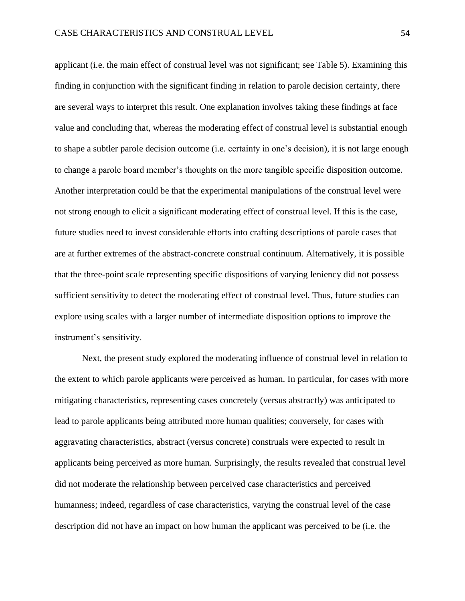applicant (i.e. the main effect of construal level was not significant; see Table 5). Examining this finding in conjunction with the significant finding in relation to parole decision certainty, there are several ways to interpret this result. One explanation involves taking these findings at face value and concluding that, whereas the moderating effect of construal level is substantial enough to shape a subtler parole decision outcome (i.e. certainty in one's decision), it is not large enough to change a parole board member's thoughts on the more tangible specific disposition outcome. Another interpretation could be that the experimental manipulations of the construal level were not strong enough to elicit a significant moderating effect of construal level. If this is the case, future studies need to invest considerable efforts into crafting descriptions of parole cases that are at further extremes of the abstract-concrete construal continuum. Alternatively, it is possible that the three-point scale representing specific dispositions of varying leniency did not possess sufficient sensitivity to detect the moderating effect of construal level. Thus, future studies can explore using scales with a larger number of intermediate disposition options to improve the instrument's sensitivity.

Next, the present study explored the moderating influence of construal level in relation to the extent to which parole applicants were perceived as human. In particular, for cases with more mitigating characteristics, representing cases concretely (versus abstractly) was anticipated to lead to parole applicants being attributed more human qualities; conversely, for cases with aggravating characteristics, abstract (versus concrete) construals were expected to result in applicants being perceived as more human. Surprisingly, the results revealed that construal level did not moderate the relationship between perceived case characteristics and perceived humanness; indeed, regardless of case characteristics, varying the construal level of the case description did not have an impact on how human the applicant was perceived to be (i.e. the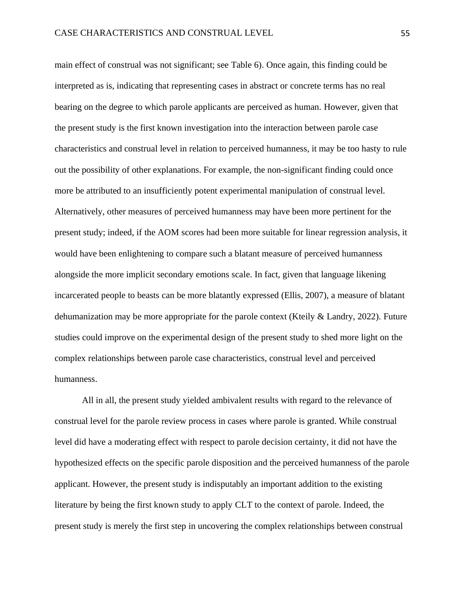main effect of construal was not significant; see Table 6). Once again, this finding could be interpreted as is, indicating that representing cases in abstract or concrete terms has no real bearing on the degree to which parole applicants are perceived as human. However, given that the present study is the first known investigation into the interaction between parole case characteristics and construal level in relation to perceived humanness, it may be too hasty to rule out the possibility of other explanations. For example, the non-significant finding could once more be attributed to an insufficiently potent experimental manipulation of construal level. Alternatively, other measures of perceived humanness may have been more pertinent for the present study; indeed, if the AOM scores had been more suitable for linear regression analysis, it would have been enlightening to compare such a blatant measure of perceived humanness alongside the more implicit secondary emotions scale. In fact, given that language likening incarcerated people to beasts can be more blatantly expressed (Ellis, 2007), a measure of blatant dehumanization may be more appropriate for the parole context (Kteily & Landry, 2022). Future studies could improve on the experimental design of the present study to shed more light on the complex relationships between parole case characteristics, construal level and perceived humanness.

All in all, the present study yielded ambivalent results with regard to the relevance of construal level for the parole review process in cases where parole is granted. While construal level did have a moderating effect with respect to parole decision certainty, it did not have the hypothesized effects on the specific parole disposition and the perceived humanness of the parole applicant. However, the present study is indisputably an important addition to the existing literature by being the first known study to apply CLT to the context of parole. Indeed, the present study is merely the first step in uncovering the complex relationships between construal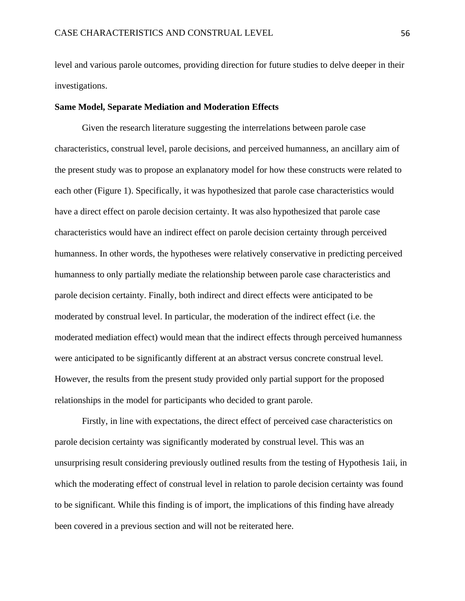level and various parole outcomes, providing direction for future studies to delve deeper in their investigations.

#### **Same Model, Separate Mediation and Moderation Effects**

Given the research literature suggesting the interrelations between parole case characteristics, construal level, parole decisions, and perceived humanness, an ancillary aim of the present study was to propose an explanatory model for how these constructs were related to each other (Figure 1). Specifically, it was hypothesized that parole case characteristics would have a direct effect on parole decision certainty. It was also hypothesized that parole case characteristics would have an indirect effect on parole decision certainty through perceived humanness. In other words, the hypotheses were relatively conservative in predicting perceived humanness to only partially mediate the relationship between parole case characteristics and parole decision certainty. Finally, both indirect and direct effects were anticipated to be moderated by construal level. In particular, the moderation of the indirect effect (i.e. the moderated mediation effect) would mean that the indirect effects through perceived humanness were anticipated to be significantly different at an abstract versus concrete construal level. However, the results from the present study provided only partial support for the proposed relationships in the model for participants who decided to grant parole.

Firstly, in line with expectations, the direct effect of perceived case characteristics on parole decision certainty was significantly moderated by construal level. This was an unsurprising result considering previously outlined results from the testing of Hypothesis 1aii, in which the moderating effect of construal level in relation to parole decision certainty was found to be significant. While this finding is of import, the implications of this finding have already been covered in a previous section and will not be reiterated here.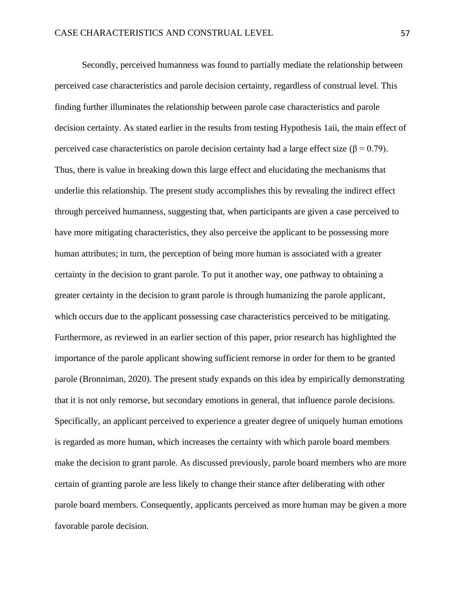Secondly, perceived humanness was found to partially mediate the relationship between perceived case characteristics and parole decision certainty, regardless of construal level. This finding further illuminates the relationship between parole case characteristics and parole decision certainty. As stated earlier in the results from testing Hypothesis 1aii, the main effect of perceived case characteristics on parole decision certainty had a large effect size ( $\beta$  = 0.79). Thus, there is value in breaking down this large effect and elucidating the mechanisms that underlie this relationship. The present study accomplishes this by revealing the indirect effect through perceived humanness, suggesting that, when participants are given a case perceived to have more mitigating characteristics, they also perceive the applicant to be possessing more human attributes; in turn, the perception of being more human is associated with a greater certainty in the decision to grant parole. To put it another way, one pathway to obtaining a greater certainty in the decision to grant parole is through humanizing the parole applicant, which occurs due to the applicant possessing case characteristics perceived to be mitigating. Furthermore, as reviewed in an earlier section of this paper, prior research has highlighted the importance of the parole applicant showing sufficient remorse in order for them to be granted parole (Bronniman, 2020). The present study expands on this idea by empirically demonstrating that it is not only remorse, but secondary emotions in general, that influence parole decisions. Specifically, an applicant perceived to experience a greater degree of uniquely human emotions is regarded as more human, which increases the certainty with which parole board members make the decision to grant parole. As discussed previously, parole board members who are more certain of granting parole are less likely to change their stance after deliberating with other parole board members. Consequently, applicants perceived as more human may be given a more favorable parole decision.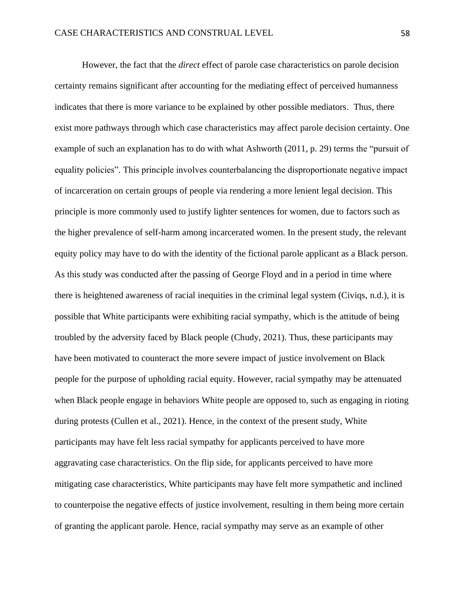However, the fact that the *direct* effect of parole case characteristics on parole decision certainty remains significant after accounting for the mediating effect of perceived humanness indicates that there is more variance to be explained by other possible mediators. Thus, there exist more pathways through which case characteristics may affect parole decision certainty. One example of such an explanation has to do with what Ashworth (2011, p. 29) terms the "pursuit of equality policies". This principle involves counterbalancing the disproportionate negative impact of incarceration on certain groups of people via rendering a more lenient legal decision. This principle is more commonly used to justify lighter sentences for women, due to factors such as the higher prevalence of self-harm among incarcerated women. In the present study, the relevant equity policy may have to do with the identity of the fictional parole applicant as a Black person. As this study was conducted after the passing of George Floyd and in a period in time where there is heightened awareness of racial inequities in the criminal legal system (Civiqs, n.d.), it is possible that White participants were exhibiting racial sympathy, which is the attitude of being troubled by the adversity faced by Black people (Chudy, 2021). Thus, these participants may have been motivated to counteract the more severe impact of justice involvement on Black people for the purpose of upholding racial equity. However, racial sympathy may be attenuated when Black people engage in behaviors White people are opposed to, such as engaging in rioting during protests (Cullen et al., 2021). Hence, in the context of the present study, White participants may have felt less racial sympathy for applicants perceived to have more aggravating case characteristics. On the flip side, for applicants perceived to have more mitigating case characteristics, White participants may have felt more sympathetic and inclined to counterpoise the negative effects of justice involvement, resulting in them being more certain of granting the applicant parole. Hence, racial sympathy may serve as an example of other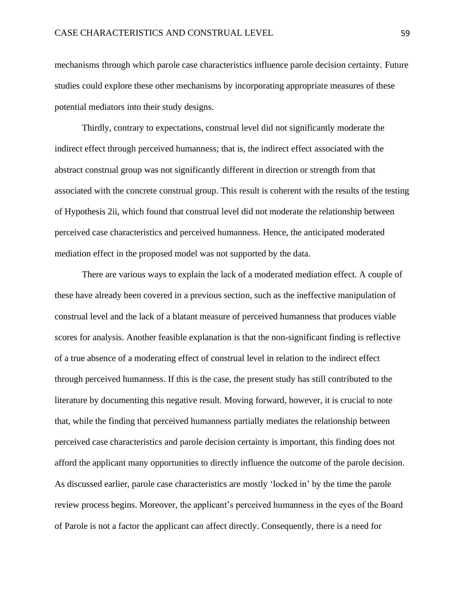mechanisms through which parole case characteristics influence parole decision certainty. Future studies could explore these other mechanisms by incorporating appropriate measures of these potential mediators into their study designs.

Thirdly, contrary to expectations, construal level did not significantly moderate the indirect effect through perceived humanness; that is, the indirect effect associated with the abstract construal group was not significantly different in direction or strength from that associated with the concrete construal group. This result is coherent with the results of the testing of Hypothesis 2ii, which found that construal level did not moderate the relationship between perceived case characteristics and perceived humanness. Hence, the anticipated moderated mediation effect in the proposed model was not supported by the data.

There are various ways to explain the lack of a moderated mediation effect. A couple of these have already been covered in a previous section, such as the ineffective manipulation of construal level and the lack of a blatant measure of perceived humanness that produces viable scores for analysis. Another feasible explanation is that the non-significant finding is reflective of a true absence of a moderating effect of construal level in relation to the indirect effect through perceived humanness. If this is the case, the present study has still contributed to the literature by documenting this negative result. Moving forward, however, it is crucial to note that, while the finding that perceived humanness partially mediates the relationship between perceived case characteristics and parole decision certainty is important, this finding does not afford the applicant many opportunities to directly influence the outcome of the parole decision. As discussed earlier, parole case characteristics are mostly 'locked in' by the time the parole review process begins. Moreover, the applicant's perceived humanness in the eyes of the Board of Parole is not a factor the applicant can affect directly. Consequently, there is a need for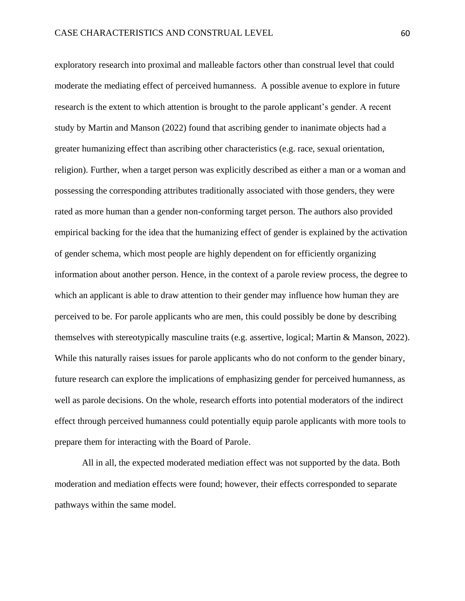exploratory research into proximal and malleable factors other than construal level that could moderate the mediating effect of perceived humanness. A possible avenue to explore in future research is the extent to which attention is brought to the parole applicant's gender. A recent study by Martin and Manson (2022) found that ascribing gender to inanimate objects had a greater humanizing effect than ascribing other characteristics (e.g. race, sexual orientation, religion). Further, when a target person was explicitly described as either a man or a woman and possessing the corresponding attributes traditionally associated with those genders, they were rated as more human than a gender non-conforming target person. The authors also provided empirical backing for the idea that the humanizing effect of gender is explained by the activation of gender schema, which most people are highly dependent on for efficiently organizing information about another person. Hence, in the context of a parole review process, the degree to which an applicant is able to draw attention to their gender may influence how human they are perceived to be. For parole applicants who are men, this could possibly be done by describing themselves with stereotypically masculine traits (e.g. assertive, logical; Martin & Manson, 2022). While this naturally raises issues for parole applicants who do not conform to the gender binary, future research can explore the implications of emphasizing gender for perceived humanness, as well as parole decisions. On the whole, research efforts into potential moderators of the indirect effect through perceived humanness could potentially equip parole applicants with more tools to prepare them for interacting with the Board of Parole.

All in all, the expected moderated mediation effect was not supported by the data. Both moderation and mediation effects were found; however, their effects corresponded to separate pathways within the same model.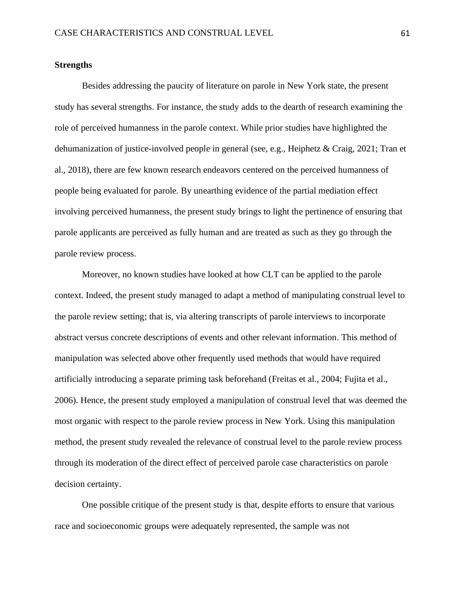#### **Strengths**

Besides addressing the paucity of literature on parole in New York state, the present study has several strengths. For instance, the study adds to the dearth of research examining the role of perceived humanness in the parole context. While prior studies have highlighted the dehumanization of justice-involved people in general (see, e.g., Heiphetz & Craig, 2021; Tran et al., 2018), there are few known research endeavors centered on the perceived humanness of people being evaluated for parole. By unearthing evidence of the partial mediation effect involving perceived humanness, the present study brings to light the pertinence of ensuring that parole applicants are perceived as fully human and are treated as such as they go through the parole review process.

Moreover, no known studies have looked at how CLT can be applied to the parole context. Indeed, the present study managed to adapt a method of manipulating construal level to the parole review setting; that is, via altering transcripts of parole interviews to incorporate abstract versus concrete descriptions of events and other relevant information. This method of manipulation was selected above other frequently used methods that would have required artificially introducing a separate priming task beforehand (Freitas et al., 2004; Fujita et al., 2006). Hence, the present study employed a manipulation of construal level that was deemed the most organic with respect to the parole review process in New York. Using this manipulation method, the present study revealed the relevance of construal level to the parole review process through its moderation of the direct effect of perceived parole case characteristics on parole decision certainty.

One possible critique of the present study is that, despite efforts to ensure that various race and socioeconomic groups were adequately represented, the sample was not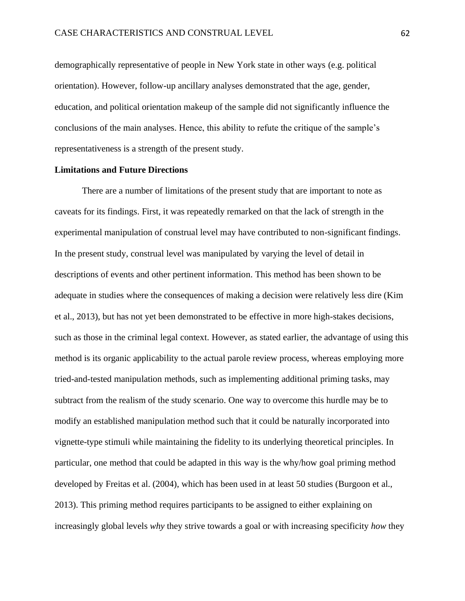demographically representative of people in New York state in other ways (e.g. political orientation). However, follow-up ancillary analyses demonstrated that the age, gender, education, and political orientation makeup of the sample did not significantly influence the conclusions of the main analyses. Hence, this ability to refute the critique of the sample's representativeness is a strength of the present study.

#### **Limitations and Future Directions**

There are a number of limitations of the present study that are important to note as caveats for its findings. First, it was repeatedly remarked on that the lack of strength in the experimental manipulation of construal level may have contributed to non-significant findings. In the present study, construal level was manipulated by varying the level of detail in descriptions of events and other pertinent information. This method has been shown to be adequate in studies where the consequences of making a decision were relatively less dire (Kim et al., 2013), but has not yet been demonstrated to be effective in more high-stakes decisions, such as those in the criminal legal context. However, as stated earlier, the advantage of using this method is its organic applicability to the actual parole review process, whereas employing more tried-and-tested manipulation methods, such as implementing additional priming tasks, may subtract from the realism of the study scenario. One way to overcome this hurdle may be to modify an established manipulation method such that it could be naturally incorporated into vignette-type stimuli while maintaining the fidelity to its underlying theoretical principles. In particular, one method that could be adapted in this way is the why/how goal priming method developed by Freitas et al. (2004), which has been used in at least 50 studies (Burgoon et al., 2013). This priming method requires participants to be assigned to either explaining on increasingly global levels *why* they strive towards a goal or with increasing specificity *how* they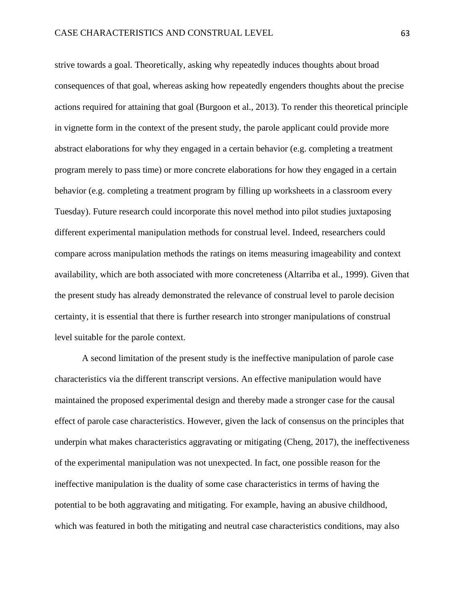strive towards a goal. Theoretically, asking why repeatedly induces thoughts about broad consequences of that goal, whereas asking how repeatedly engenders thoughts about the precise actions required for attaining that goal (Burgoon et al., 2013). To render this theoretical principle in vignette form in the context of the present study, the parole applicant could provide more abstract elaborations for why they engaged in a certain behavior (e.g. completing a treatment program merely to pass time) or more concrete elaborations for how they engaged in a certain behavior (e.g. completing a treatment program by filling up worksheets in a classroom every Tuesday). Future research could incorporate this novel method into pilot studies juxtaposing different experimental manipulation methods for construal level. Indeed, researchers could compare across manipulation methods the ratings on items measuring imageability and context availability, which are both associated with more concreteness (Altarriba et al., 1999). Given that the present study has already demonstrated the relevance of construal level to parole decision certainty, it is essential that there is further research into stronger manipulations of construal level suitable for the parole context.

A second limitation of the present study is the ineffective manipulation of parole case characteristics via the different transcript versions. An effective manipulation would have maintained the proposed experimental design and thereby made a stronger case for the causal effect of parole case characteristics. However, given the lack of consensus on the principles that underpin what makes characteristics aggravating or mitigating (Cheng, 2017), the ineffectiveness of the experimental manipulation was not unexpected. In fact, one possible reason for the ineffective manipulation is the duality of some case characteristics in terms of having the potential to be both aggravating and mitigating. For example, having an abusive childhood, which was featured in both the mitigating and neutral case characteristics conditions, may also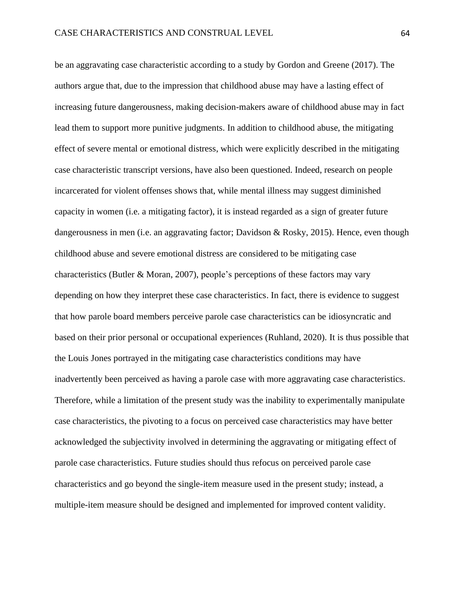be an aggravating case characteristic according to a study by Gordon and Greene (2017). The authors argue that, due to the impression that childhood abuse may have a lasting effect of increasing future dangerousness, making decision-makers aware of childhood abuse may in fact lead them to support more punitive judgments. In addition to childhood abuse, the mitigating effect of severe mental or emotional distress, which were explicitly described in the mitigating case characteristic transcript versions, have also been questioned. Indeed, research on people incarcerated for violent offenses shows that, while mental illness may suggest diminished capacity in women (i.e. a mitigating factor), it is instead regarded as a sign of greater future dangerousness in men (i.e. an aggravating factor; Davidson & Rosky, 2015). Hence, even though childhood abuse and severe emotional distress are considered to be mitigating case characteristics (Butler & Moran, 2007), people's perceptions of these factors may vary depending on how they interpret these case characteristics. In fact, there is evidence to suggest that how parole board members perceive parole case characteristics can be idiosyncratic and based on their prior personal or occupational experiences (Ruhland, 2020). It is thus possible that the Louis Jones portrayed in the mitigating case characteristics conditions may have inadvertently been perceived as having a parole case with more aggravating case characteristics. Therefore, while a limitation of the present study was the inability to experimentally manipulate case characteristics, the pivoting to a focus on perceived case characteristics may have better acknowledged the subjectivity involved in determining the aggravating or mitigating effect of parole case characteristics. Future studies should thus refocus on perceived parole case characteristics and go beyond the single-item measure used in the present study; instead, a multiple-item measure should be designed and implemented for improved content validity.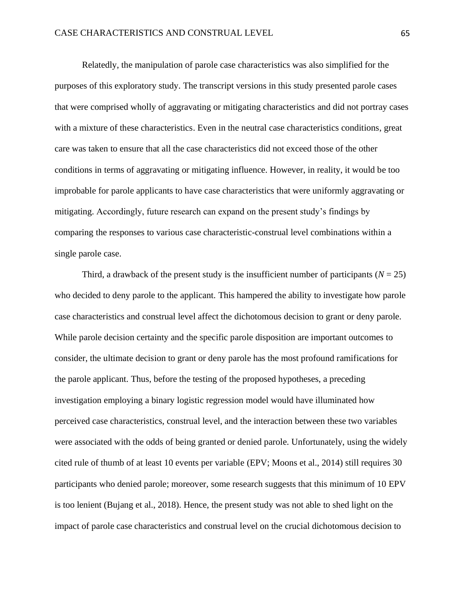Relatedly, the manipulation of parole case characteristics was also simplified for the purposes of this exploratory study. The transcript versions in this study presented parole cases that were comprised wholly of aggravating or mitigating characteristics and did not portray cases with a mixture of these characteristics. Even in the neutral case characteristics conditions, great care was taken to ensure that all the case characteristics did not exceed those of the other conditions in terms of aggravating or mitigating influence. However, in reality, it would be too improbable for parole applicants to have case characteristics that were uniformly aggravating or mitigating. Accordingly, future research can expand on the present study's findings by comparing the responses to various case characteristic-construal level combinations within a single parole case.

Third, a drawback of the present study is the insufficient number of participants  $(N = 25)$ who decided to deny parole to the applicant. This hampered the ability to investigate how parole case characteristics and construal level affect the dichotomous decision to grant or deny parole. While parole decision certainty and the specific parole disposition are important outcomes to consider, the ultimate decision to grant or deny parole has the most profound ramifications for the parole applicant. Thus, before the testing of the proposed hypotheses, a preceding investigation employing a binary logistic regression model would have illuminated how perceived case characteristics, construal level, and the interaction between these two variables were associated with the odds of being granted or denied parole. Unfortunately, using the widely cited rule of thumb of at least 10 events per variable (EPV; Moons et al., 2014) still requires 30 participants who denied parole; moreover, some research suggests that this minimum of 10 EPV is too lenient (Bujang et al., 2018). Hence, the present study was not able to shed light on the impact of parole case characteristics and construal level on the crucial dichotomous decision to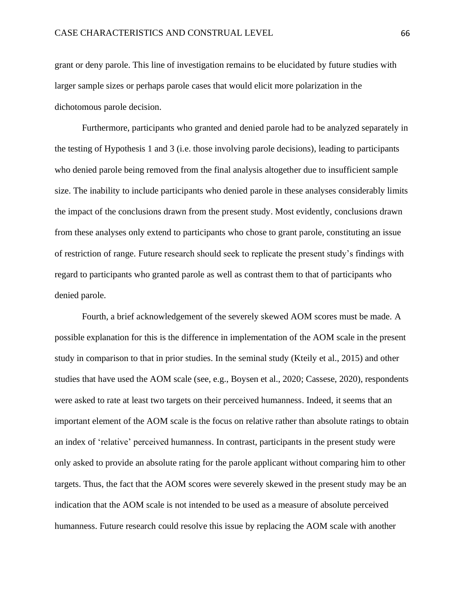grant or deny parole. This line of investigation remains to be elucidated by future studies with larger sample sizes or perhaps parole cases that would elicit more polarization in the dichotomous parole decision.

Furthermore, participants who granted and denied parole had to be analyzed separately in the testing of Hypothesis 1 and 3 (i.e. those involving parole decisions), leading to participants who denied parole being removed from the final analysis altogether due to insufficient sample size. The inability to include participants who denied parole in these analyses considerably limits the impact of the conclusions drawn from the present study. Most evidently, conclusions drawn from these analyses only extend to participants who chose to grant parole, constituting an issue of restriction of range. Future research should seek to replicate the present study's findings with regard to participants who granted parole as well as contrast them to that of participants who denied parole.

Fourth, a brief acknowledgement of the severely skewed AOM scores must be made. A possible explanation for this is the difference in implementation of the AOM scale in the present study in comparison to that in prior studies. In the seminal study (Kteily et al., 2015) and other studies that have used the AOM scale (see, e.g., Boysen et al., 2020; Cassese, 2020), respondents were asked to rate at least two targets on their perceived humanness. Indeed, it seems that an important element of the AOM scale is the focus on relative rather than absolute ratings to obtain an index of 'relative' perceived humanness. In contrast, participants in the present study were only asked to provide an absolute rating for the parole applicant without comparing him to other targets. Thus, the fact that the AOM scores were severely skewed in the present study may be an indication that the AOM scale is not intended to be used as a measure of absolute perceived humanness. Future research could resolve this issue by replacing the AOM scale with another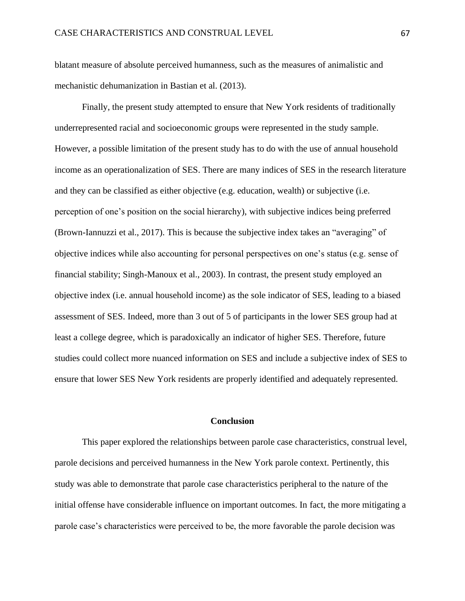blatant measure of absolute perceived humanness, such as the measures of animalistic and mechanistic dehumanization in Bastian et al. (2013).

Finally, the present study attempted to ensure that New York residents of traditionally underrepresented racial and socioeconomic groups were represented in the study sample. However, a possible limitation of the present study has to do with the use of annual household income as an operationalization of SES. There are many indices of SES in the research literature and they can be classified as either objective (e.g. education, wealth) or subjective (i.e. perception of one's position on the social hierarchy), with subjective indices being preferred (Brown-Iannuzzi et al., 2017). This is because the subjective index takes an "averaging" of objective indices while also accounting for personal perspectives on one's status (e.g. sense of financial stability; Singh-Manoux et al., 2003). In contrast, the present study employed an objective index (i.e. annual household income) as the sole indicator of SES, leading to a biased assessment of SES. Indeed, more than 3 out of 5 of participants in the lower SES group had at least a college degree, which is paradoxically an indicator of higher SES. Therefore, future studies could collect more nuanced information on SES and include a subjective index of SES to ensure that lower SES New York residents are properly identified and adequately represented.

#### **Conclusion**

This paper explored the relationships between parole case characteristics, construal level, parole decisions and perceived humanness in the New York parole context. Pertinently, this study was able to demonstrate that parole case characteristics peripheral to the nature of the initial offense have considerable influence on important outcomes. In fact, the more mitigating a parole case's characteristics were perceived to be, the more favorable the parole decision was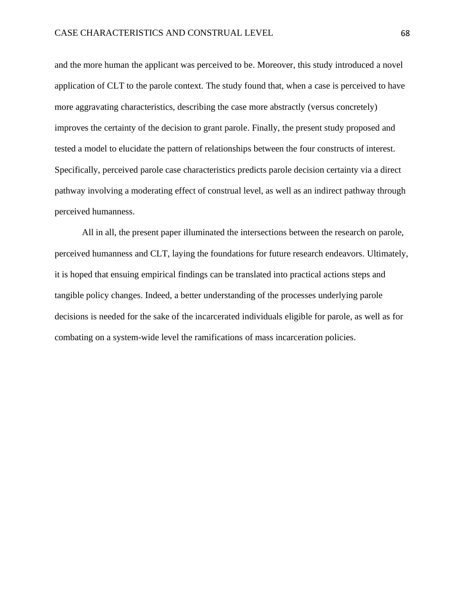and the more human the applicant was perceived to be. Moreover, this study introduced a novel application of CLT to the parole context. The study found that, when a case is perceived to have more aggravating characteristics, describing the case more abstractly (versus concretely) improves the certainty of the decision to grant parole. Finally, the present study proposed and tested a model to elucidate the pattern of relationships between the four constructs of interest. Specifically, perceived parole case characteristics predicts parole decision certainty via a direct pathway involving a moderating effect of construal level, as well as an indirect pathway through perceived humanness.

All in all, the present paper illuminated the intersections between the research on parole, perceived humanness and CLT, laying the foundations for future research endeavors. Ultimately, it is hoped that ensuing empirical findings can be translated into practical actions steps and tangible policy changes. Indeed, a better understanding of the processes underlying parole decisions is needed for the sake of the incarcerated individuals eligible for parole, as well as for combating on a system-wide level the ramifications of mass incarceration policies.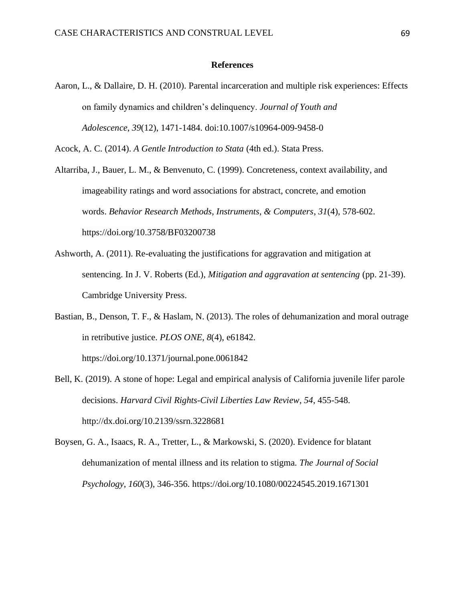#### **References**

Aaron, L., & Dallaire, D. H. (2010). Parental incarceration and multiple risk experiences: Effects on family dynamics and children's delinquency. *Journal of Youth and Adolescence*, *39*(12), 1471-1484. doi:10.1007/s10964-009-9458-0

Acock, A. C. (2014). *A Gentle Introduction to Stata* (4th ed.). Stata Press.

- Altarriba, J., Bauer, L. M., & Benvenuto, C. (1999). Concreteness, context availability, and imageability ratings and word associations for abstract, concrete, and emotion words. *Behavior Research Methods, Instruments, & Computers*, *31*(4), 578-602. https://doi.org/10.3758/BF03200738
- Ashworth, A. (2011). Re-evaluating the justifications for aggravation and mitigation at sentencing. In J. V. Roberts (Ed.), *Mitigation and aggravation at sentencing* (pp. 21-39). Cambridge University Press.
- Bastian, B., Denson, T. F., & Haslam, N. (2013). The roles of dehumanization and moral outrage in retributive justice. *PLOS ONE*, *8*(4), e61842. <https://doi.org/10.1371/journal.pone.0061842>
- Bell, K. (2019). A stone of hope: Legal and empirical analysis of California juvenile lifer parole decisions. *Harvard Civil Rights-Civil Liberties Law Review*, *54*, 455-548. [http://dx.doi.org/10.2139/ssrn.3228681](https://dx.doi.org/10.2139/ssrn.3228681)
- Boysen, G. A., Isaacs, R. A., Tretter, L., & Markowski, S. (2020). Evidence for blatant dehumanization of mental illness and its relation to stigma. *The Journal of Social Psychology*, *160*(3), 346-356. <https://doi.org/10.1080/00224545.2019.1671301>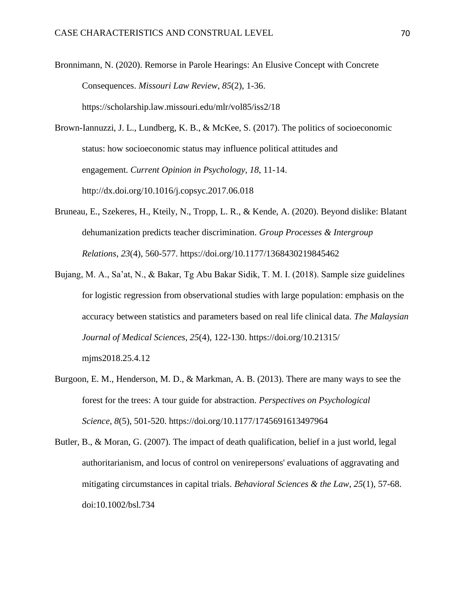Bronnimann, N. (2020). Remorse in Parole Hearings: An Elusive Concept with Concrete Consequences. *Missouri Law Review*, *85*(2), 1-36. https://scholarship.law.missouri.edu/mlr/vol85/iss2/18

Brown-Iannuzzi, J. L., Lundberg, K. B., & McKee, S. (2017). The politics of socioeconomic status: how socioeconomic status may influence political attitudes and engagement. *Current Opinion in Psychology*, *18*, 11-14. http://dx.doi.org/10.1016/j.copsyc.2017.06.018

- Bruneau, E., Szekeres, H., Kteily, N., Tropp, L. R., & Kende, A. (2020). Beyond dislike: Blatant dehumanization predicts teacher discrimination. *Group Processes & Intergroup Relations*, *23*(4), 560-577. [https://doi.org/10.1177/1368430219845462](https://doi.org/10.1177%2F1368430219845462)
- Bujang, M. A., Sa'at, N., & Bakar, Tg Abu Bakar Sidik, T. M. I. (2018). Sample size guidelines for logistic regression from observational studies with large population: emphasis on the accuracy between statistics and parameters based on real life clinical data. *The Malaysian Journal of Medical Sciences*, *25*(4), 122-130. https://doi.org/10.21315/ mjms2018.25.4.12
- Burgoon, E. M., Henderson, M. D., & Markman, A. B. (2013). There are many ways to see the forest for the trees: A tour guide for abstraction. *Perspectives on Psychological Science*, *8*(5), 501-520. [https://doi.org/10.1177/1745691613497964](https://doi.org/10.1177%2F1745691613497964)
- Butler, B., & Moran, G. (2007). The impact of death qualification, belief in a just world, legal authoritarianism, and locus of control on venirepersons' evaluations of aggravating and mitigating circumstances in capital trials. *Behavioral Sciences & the Law*, *25*(1), 57-68. doi:10.1002/bsl.734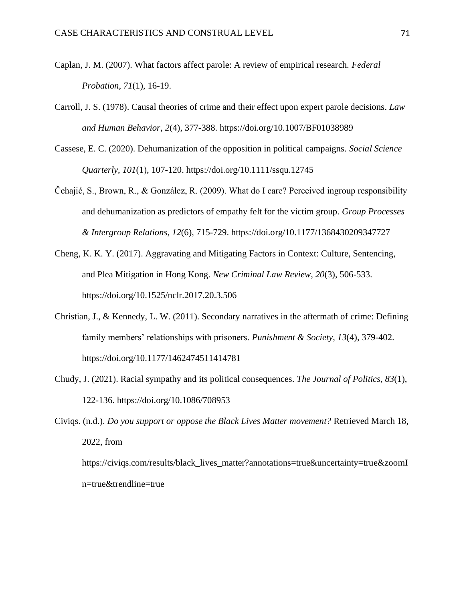- Caplan, J. M. (2007). What factors affect parole: A review of empirical research. *Federal Probation*, *71*(1), 16-19.
- Carroll, J. S. (1978). Causal theories of crime and their effect upon expert parole decisions. *Law and Human Behavior*, *2*(4), 377-388. [https://doi.org/10.1007/BF01038989](https://psycnet.apa.org/doi/10.1007/BF01038989)
- Cassese, E. C. (2020). Dehumanization of the opposition in political campaigns. *Social Science Quarterly*, *101*(1), 107-120. <https://doi.org/10.1111/ssqu.12745>
- Čehajić, S., Brown, R., & González, R. (2009). What do I care? Perceived ingroup responsibility and dehumanization as predictors of empathy felt for the victim group. *Group Processes & Intergroup Relations*, *12*(6), 715-729. [https://doi.org/10.1177/1368430209347727](https://doi.org/10.1177%2F1368430209347727)
- Cheng, K. K. Y. (2017). Aggravating and Mitigating Factors in Context: Culture, Sentencing, and Plea Mitigation in Hong Kong. *New Criminal Law Review*, *20*(3), 506-533. <https://doi.org/10.1525/nclr.2017.20.3.506>
- Christian, J., & Kennedy, L. W. (2011). Secondary narratives in the aftermath of crime: Defining family members' relationships with prisoners. *Punishment & Society*, *13*(4), 379-402. [https://doi.org/10.1177/1462474511414781](https://doi.org/10.1177%2F1462474511414781)
- Chudy, J. (2021). Racial sympathy and its political consequences. *The Journal of Politics*, *83*(1), 122-136. <https://doi.org/10.1086/708953>

Civiqs. (n.d.). *Do you support or oppose the Black Lives Matter movement?* Retrieved March 18, 2022, from [https://civiqs.com/results/black\\_lives\\_matter?annotations=true&uncertainty=true&zoomI](https://civiqs.com/results/black_lives_matter?annotations=true&uncertainty=true&zoomIn=true&trendline=true)

[n=true&trendline=true](https://civiqs.com/results/black_lives_matter?annotations=true&uncertainty=true&zoomIn=true&trendline=true)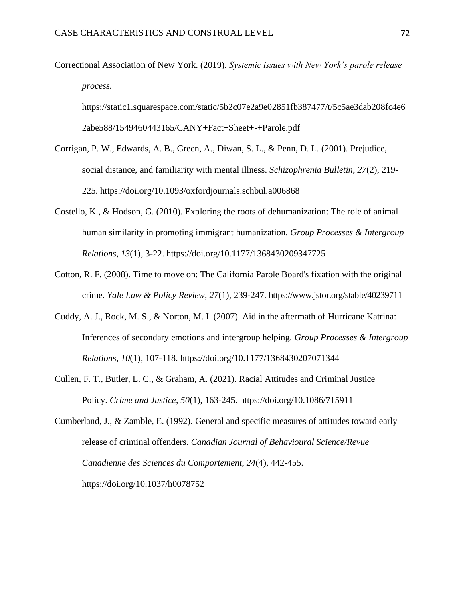Correctional Association of New York. (2019). *Systemic issues with New York's parole release process.*

[https://static1.squarespace.com/static/5b2c07e2a9e02851fb387477/t/5c5ae3dab208fc4e6](https://static1.squarespace.com/static/5b2c07e2a9e02851fb387477/t/5c5ae3dab208fc4e62abe588/1549460443165/CANY+Fact+Sheet+-+Parole.pdf) [2abe588/1549460443165/CANY+Fact+Sheet+-+Parole.pdf](https://static1.squarespace.com/static/5b2c07e2a9e02851fb387477/t/5c5ae3dab208fc4e62abe588/1549460443165/CANY+Fact+Sheet+-+Parole.pdf)

- Corrigan, P. W., Edwards, A. B., Green, A., Diwan, S. L., & Penn, D. L. (2001). Prejudice, social distance, and familiarity with mental illness. *Schizophrenia Bulletin*, *27*(2), 219- 225. <https://doi.org/10.1093/oxfordjournals.schbul.a006868>
- Costello, K., & Hodson, G. (2010). Exploring the roots of dehumanization: The role of animal human similarity in promoting immigrant humanization. *Group Processes & Intergroup Relations*, *13*(1), 3-22. [https://doi.org/10.1177/1368430209347725](https://doi.org/10.1177%2F1368430209347725)
- Cotton, R. F. (2008). Time to move on: The California Parole Board's fixation with the original crime. *Yale Law & Policy Review*, *27*(1), 239-247. https://www.jstor.org/stable/40239711
- Cuddy, A. J., Rock, M. S., & Norton, M. I. (2007). Aid in the aftermath of Hurricane Katrina: Inferences of secondary emotions and intergroup helping. *Group Processes & Intergroup Relations*, *10*(1), 107-118. [https://doi.org/10.1177/1368430207071344](https://doi.org/10.1177%2F1368430207071344)
- Cullen, F. T., Butler, L. C., & Graham, A. (2021). Racial Attitudes and Criminal Justice Policy. *Crime and Justice*, *50*(1), 163-245. <https://doi.org/10.1086/715911>

Cumberland, J., & Zamble, E. (1992). General and specific measures of attitudes toward early release of criminal offenders. *Canadian Journal of Behavioural Science/Revue Canadienne des Sciences du Comportement*, *24*(4), 442-455. [https://doi.org/10.1037/h0078752](https://psycnet.apa.org/doi/10.1037/h0078752)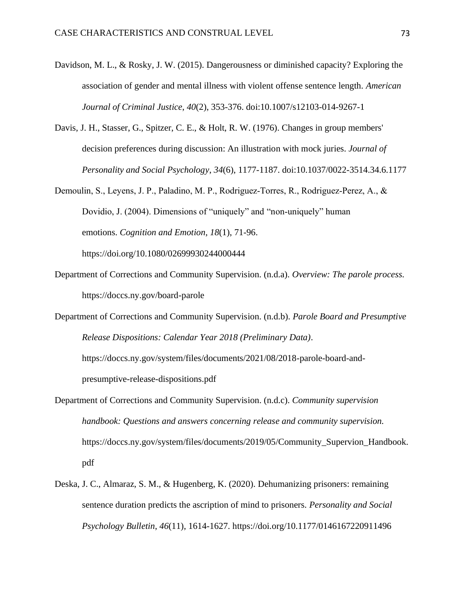- Davidson, M. L., & Rosky, J. W. (2015). Dangerousness or diminished capacity? Exploring the association of gender and mental illness with violent offense sentence length. *American Journal of Criminal Justice*, *40*(2), 353-376. doi:10.1007/s12103-014-9267-1
- Davis, J. H., Stasser, G., Spitzer, C. E., & Holt, R. W. (1976). Changes in group members' decision preferences during discussion: An illustration with mock juries. *Journal of Personality and Social Psychology*, *34*(6), 1177-1187. doi:10.1037/0022-3514.34.6.1177
- Demoulin, S., Leyens, J. P., Paladino, M. P., Rodriguez‐Torres, R., Rodriguez‐Perez, A., & Dovidio, J. (2004). Dimensions of "uniquely" and "non-uniquely" human emotions. *Cognition and Emotion*, *18*(1), 71-96. <https://doi.org/10.1080/02699930244000444>
- Department of Corrections and Community Supervision. (n.d.a). *Overview: The parole process.* <https://doccs.ny.gov/board-parole>
- Department of Corrections and Community Supervision. (n.d.b). *Parole Board and Presumptive Release Dispositions: Calendar Year 2018 (Preliminary Data)*.

[https://doccs.ny.gov/system/files/documents/2021/08/2018-parole-board-and](https://doccs.ny.gov/system/files/documents/2021/08/2018-parole-board-and-presumptive-release-dispositions.pdf)[presumptive-release-dispositions.pdf](https://doccs.ny.gov/system/files/documents/2021/08/2018-parole-board-and-presumptive-release-dispositions.pdf)

- Department of Corrections and Community Supervision. (n.d.c). *Community supervision handbook: Questions and answers concerning release and community supervision.* [https://doccs.ny.gov/system/files/documents/2019/05/Community\\_Supervion\\_Handbook.](https://doccs.ny.gov/system/files/documents/2019/05/Community_Supervion_Handbook.pdf) [pdf](https://doccs.ny.gov/system/files/documents/2019/05/Community_Supervion_Handbook.pdf)
- Deska, J. C., Almaraz, S. M., & Hugenberg, K. (2020). Dehumanizing prisoners: remaining sentence duration predicts the ascription of mind to prisoners. *Personality and Social Psychology Bulletin*, *46*(11), 1614-1627. [https://doi.org/10.1177/0146167220911496](https://doi.org/10.1177%2F0146167220911496)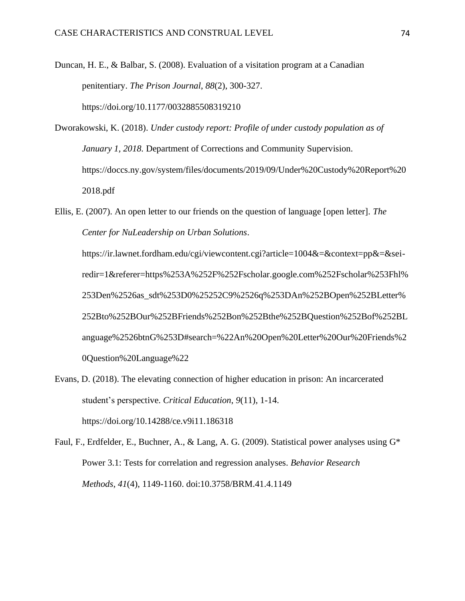Duncan, H. E., & Balbar, S. (2008). Evaluation of a visitation program at a Canadian penitentiary. *The Prison Journal*, *88*(2), 300-327. [https://doi.org/10.1177/0032885508319210](https://doi.org/10.1177%2F0032885508319210)

Dworakowski, K. (2018). *Under custody report: Profile of under custody population as of January 1, 2018.* Department of Corrections and Community Supervision. [https://doccs.ny.gov/system/files/documents/2019/09/Under%20Custody%20Report%20](https://doccs.ny.gov/system/files/documents/2019/09/Under%20Custody%20Report%202018.pdf) [2018.pdf](https://doccs.ny.gov/system/files/documents/2019/09/Under%20Custody%20Report%202018.pdf)

Ellis, E. (2007). An open letter to our friends on the question of language [open letter]. *The Center for NuLeadership on Urban Solutions*.

[https://ir.lawnet.fordham.edu/cgi/viewcontent.cgi?article=1004&=&context=pp&=&sei](https://ir.lawnet.fordham.edu/cgi/viewcontent.cgi?article=1004&=&context=pp&=&sei-redir=1&referer=https%253A%252F%252Fscholar.google.com%252Fscholar%253Fhl%253Den%2526as_sdt%253D0%25252C9%2526q%253DAn%252BOpen%252BLetter%252Bto%252BOur%252BFriends%252Bon%252Bthe%252BQuestion%252Bof%252BLanguage%2526btnG%253D#search=%22An%20Open%20Letter%20Our%20Friends%20Question%20Language%22)[redir=1&referer=https%253A%252F%252Fscholar.google.com%252Fscholar%253Fhl%](https://ir.lawnet.fordham.edu/cgi/viewcontent.cgi?article=1004&=&context=pp&=&sei-redir=1&referer=https%253A%252F%252Fscholar.google.com%252Fscholar%253Fhl%253Den%2526as_sdt%253D0%25252C9%2526q%253DAn%252BOpen%252BLetter%252Bto%252BOur%252BFriends%252Bon%252Bthe%252BQuestion%252Bof%252BLanguage%2526btnG%253D#search=%22An%20Open%20Letter%20Our%20Friends%20Question%20Language%22) [253Den%2526as\\_sdt%253D0%25252C9%2526q%253DAn%252BOpen%252BLetter%](https://ir.lawnet.fordham.edu/cgi/viewcontent.cgi?article=1004&=&context=pp&=&sei-redir=1&referer=https%253A%252F%252Fscholar.google.com%252Fscholar%253Fhl%253Den%2526as_sdt%253D0%25252C9%2526q%253DAn%252BOpen%252BLetter%252Bto%252BOur%252BFriends%252Bon%252Bthe%252BQuestion%252Bof%252BLanguage%2526btnG%253D#search=%22An%20Open%20Letter%20Our%20Friends%20Question%20Language%22) [252Bto%252BOur%252BFriends%252Bon%252Bthe%252BQuestion%252Bof%252BL](https://ir.lawnet.fordham.edu/cgi/viewcontent.cgi?article=1004&=&context=pp&=&sei-redir=1&referer=https%253A%252F%252Fscholar.google.com%252Fscholar%253Fhl%253Den%2526as_sdt%253D0%25252C9%2526q%253DAn%252BOpen%252BLetter%252Bto%252BOur%252BFriends%252Bon%252Bthe%252BQuestion%252Bof%252BLanguage%2526btnG%253D#search=%22An%20Open%20Letter%20Our%20Friends%20Question%20Language%22) [anguage%2526btnG%253D#search=%22An%20Open%20Letter%20Our%20Friends%2](https://ir.lawnet.fordham.edu/cgi/viewcontent.cgi?article=1004&=&context=pp&=&sei-redir=1&referer=https%253A%252F%252Fscholar.google.com%252Fscholar%253Fhl%253Den%2526as_sdt%253D0%25252C9%2526q%253DAn%252BOpen%252BLetter%252Bto%252BOur%252BFriends%252Bon%252Bthe%252BQuestion%252Bof%252BLanguage%2526btnG%253D#search=%22An%20Open%20Letter%20Our%20Friends%20Question%20Language%22) [0Question%20Language%22](https://ir.lawnet.fordham.edu/cgi/viewcontent.cgi?article=1004&=&context=pp&=&sei-redir=1&referer=https%253A%252F%252Fscholar.google.com%252Fscholar%253Fhl%253Den%2526as_sdt%253D0%25252C9%2526q%253DAn%252BOpen%252BLetter%252Bto%252BOur%252BFriends%252Bon%252Bthe%252BQuestion%252Bof%252BLanguage%2526btnG%253D#search=%22An%20Open%20Letter%20Our%20Friends%20Question%20Language%22)

Evans, D. (2018). The elevating connection of higher education in prison: An incarcerated student's perspective. *Critical Education*, *9*(11), 1-14. <https://doi.org/10.14288/ce.v9i11.186318>

Faul, F., Erdfelder, E., Buchner, A., & Lang, A. G. (2009). Statistical power analyses using G\* Power 3.1: Tests for correlation and regression analyses. *Behavior Research Methods*, *41*(4), 1149-1160. doi:10.3758/BRM.41.4.1149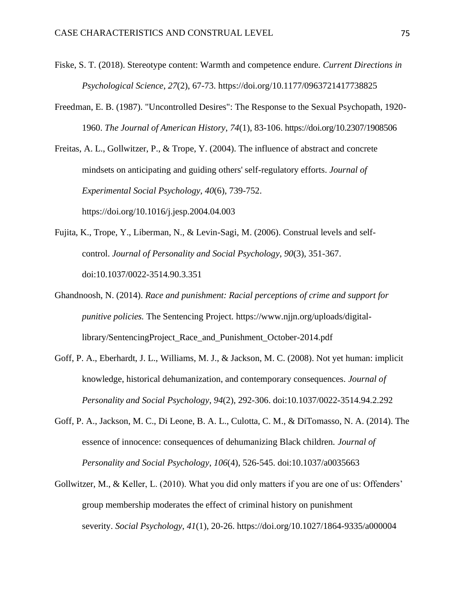- Fiske, S. T. (2018). Stereotype content: Warmth and competence endure. *Current Directions in Psychological Science*, *27*(2), 67-73. [https://doi.org/10.1177/0963721417738825](https://doi.org/10.1177%2F0963721417738825)
- Freedman, E. B. (1987). "Uncontrolled Desires": The Response to the Sexual Psychopath, 1920- 1960. *The Journal of American History*, *74*(1), 83-106. https://doi.org/10.2307/1908506

Freitas, A. L., Gollwitzer, P., & Trope, Y. (2004). The influence of abstract and concrete mindsets on anticipating and guiding others' self-regulatory efforts. *Journal of Experimental Social Psychology*, *40*(6), 739-752. <https://doi.org/10.1016/j.jesp.2004.04.003>

- Fujita, K., Trope, Y., Liberman, N., & Levin-Sagi, M. (2006). Construal levels and selfcontrol. *Journal of Personality and Social Psychology*, *90*(3), 351-367. doi:10.1037/0022-3514.90.3.351
- Ghandnoosh, N. (2014). *Race and punishment: Racial perceptions of crime and support for punitive policies.* The Sentencing Project. [https://www.njjn.org/uploads/digital](https://www.njjn.org/uploads/digital-library/SentencingProject_Race_and_Punishment_October-2014.pdf)[library/SentencingProject\\_Race\\_and\\_Punishment\\_October-2014.pdf](https://www.njjn.org/uploads/digital-library/SentencingProject_Race_and_Punishment_October-2014.pdf)
- Goff, P. A., Eberhardt, J. L., Williams, M. J., & Jackson, M. C. (2008). Not yet human: implicit knowledge, historical dehumanization, and contemporary consequences. *Journal of Personality and Social Psychology*, *94*(2), 292-306. doi:10.1037/0022-3514.94.2.292
- Goff, P. A., Jackson, M. C., Di Leone, B. A. L., Culotta, C. M., & DiTomasso, N. A. (2014). The essence of innocence: consequences of dehumanizing Black children. *Journal of Personality and Social Psychology*, *106*(4), 526-545. doi:10.1037/a0035663
- Gollwitzer, M., & Keller, L. (2010). What you did only matters if you are one of us: Offenders' group membership moderates the effect of criminal history on punishment severity. *Social Psychology*, *41*(1), 20-26. <https://doi.org/10.1027/1864-9335/a000004>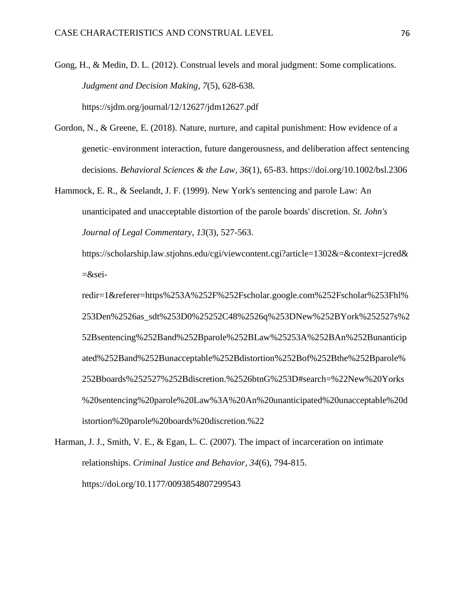Gong, H., & Medin, D. L. (2012). Construal levels and moral judgment: Some complications. *Judgment and Decision Making*, *7*(5), 628-638. https://sjdm.org/journal/12/12627/jdm12627.pdf

- Gordon, N., & Greene, E. (2018). Nature, nurture, and capital punishment: How evidence of a genetic–environment interaction, future dangerousness, and deliberation affect sentencing decisions. *Behavioral Sciences & the Law*, *36*(1), 65-83. <https://doi.org/10.1002/bsl.2306>
- Hammock, E. R., & Seelandt, J. F. (1999). New York's sentencing and parole Law: An unanticipated and unacceptable distortion of the parole boards' discretion. *St. John's Journal of Legal Commentary*, *13*(3), 527-563.

https://scholarship.law.stjohns.edu/cgi/viewcontent.cgi?article=1302&=&context=jcred&  $=\&$ sei-

redir=1&referer=https%253A%252F%252Fscholar.google.com%252Fscholar%253Fhl% 253Den%2526as\_sdt%253D0%25252C48%2526q%253DNew%252BYork%252527s%2 52Bsentencing%252Band%252Bparole%252BLaw%25253A%252BAn%252Bunanticip ated%252Band%252Bunacceptable%252Bdistortion%252Bof%252Bthe%252Bparole% 252Bboards%252527%252Bdiscretion.%2526btnG%253D#search=%22New%20Yorks %20sentencing%20parole%20Law%3A%20An%20unanticipated%20unacceptable%20d istortion%20parole%20boards%20discretion.%22

Harman, J. J., Smith, V. E., & Egan, L. C. (2007). The impact of incarceration on intimate relationships. *Criminal Justice and Behavior*, *34*(6), 794-815. [https://doi.org/10.1177/0093854807299543](https://doi.org/10.1177%2F0093854807299543)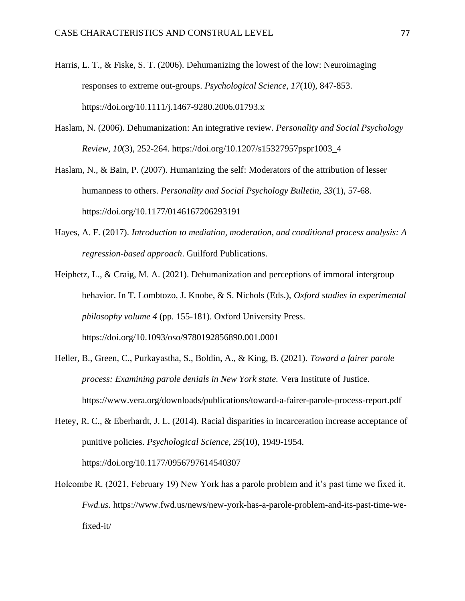- Harris, L. T., & Fiske, S. T. (2006). Dehumanizing the lowest of the low: Neuroimaging responses to extreme out-groups. *Psychological Science*, *17*(10), 847-853. [https://doi.org/10.1111/j.1467-9280.2006.01793.x](https://doi.org/10.1111%2Fj.1467-9280.2006.01793.x)
- Haslam, N. (2006). Dehumanization: An integrative review. *Personality and Social Psychology Review*, *10*(3), 252-264. [https://doi.org/10.1207/s15327957pspr1003\\_4](https://doi.org/10.1207%2Fs15327957pspr1003_4)

Haslam, N., & Bain, P. (2007). Humanizing the self: Moderators of the attribution of lesser humanness to others. *Personality and Social Psychology Bulletin*, *33*(1), 57-68. [https://doi.org/10.1177/0146167206293191](https://doi.org/10.1177%2F0146167206293191)

- Hayes, A. F. (2017). *Introduction to mediation, moderation, and conditional process analysis: A regression-based approach*. Guilford Publications.
- Heiphetz, L., & Craig, M. A. (2021). Dehumanization and perceptions of immoral intergroup behavior. In T. Lombtozo, J. Knobe, & S. Nichols (Eds.), *Oxford studies in experimental philosophy volume 4* (pp. 155-181). Oxford University Press. <https://doi.org/10.1093/oso/9780192856890.001.0001>
- Heller, B., Green, C., Purkayastha, S., Boldin, A., & King, B. (2021). *Toward a fairer parole process: Examining parole denials in New York state.* Vera Institute of Justice. <https://www.vera.org/downloads/publications/toward-a-fairer-parole-process-report.pdf>
- Hetey, R. C., & Eberhardt, J. L. (2014). Racial disparities in incarceration increase acceptance of punitive policies. *Psychological Science*, *25*(10), 1949-1954. [https://doi.org/10.1177/0956797614540307](https://doi.org/10.1177%2F0956797614540307)
- Holcombe R. (2021, February 19) New York has a parole problem and it's past time we fixed it. *Fwd.us.* https://www.fwd.us/news/new-york-has-a-parole-problem-and-its-past-time-wefixed-it/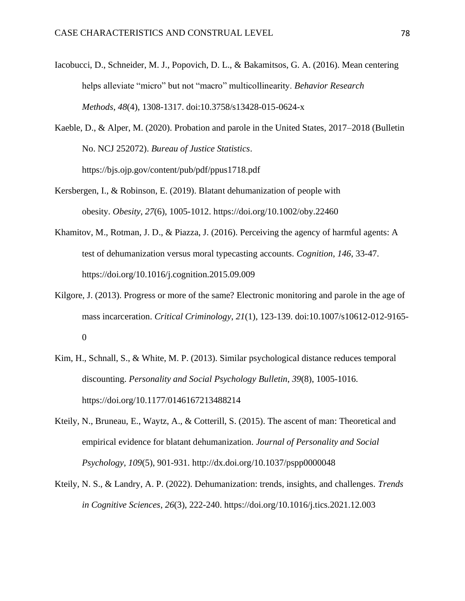Iacobucci, D., Schneider, M. J., Popovich, D. L., & Bakamitsos, G. A. (2016). Mean centering helps alleviate "micro" but not "macro" multicollinearity. *Behavior Research Methods*, *48*(4), 1308-1317. doi:10.3758/s13428-015-0624-x

Kaeble, D., & Alper, M. (2020). Probation and parole in the United States, 2017–2018 (Bulletin No. NCJ 252072). *Bureau of Justice Statistics*. <https://bjs.ojp.gov/content/pub/pdf/ppus1718.pdf>

- Kersbergen, I., & Robinson, E. (2019). Blatant dehumanization of people with obesity. *Obesity*, *27*(6), 1005-1012. <https://doi.org/10.1002/oby.22460>
- Khamitov, M., Rotman, J. D., & Piazza, J. (2016). Perceiving the agency of harmful agents: A test of dehumanization versus moral typecasting accounts. *Cognition*, *146*, 33-47. <https://doi.org/10.1016/j.cognition.2015.09.009>
- Kilgore, J. (2013). Progress or more of the same? Electronic monitoring and parole in the age of mass incarceration. *Critical Criminology*, *21*(1), 123-139. doi:10.1007/s10612-012-9165- 0
- Kim, H., Schnall, S., & White, M. P. (2013). Similar psychological distance reduces temporal discounting. *Personality and Social Psychology Bulletin*, *39*(8), 1005-1016. [https://doi.org/10.1177/0146167213488214](https://doi.org/10.1177%2F0146167213488214)
- Kteily, N., Bruneau, E., Waytz, A., & Cotterill, S. (2015). The ascent of man: Theoretical and empirical evidence for blatant dehumanization. *Journal of Personality and Social Psychology*, *109*(5), 901-931. http://dx.doi.org/10.1037/pspp0000048
- Kteily, N. S., & Landry, A. P. (2022). Dehumanization: trends, insights, and challenges. *Trends in Cognitive Sciences*, *26*(3), 222-240. <https://doi.org/10.1016/j.tics.2021.12.003>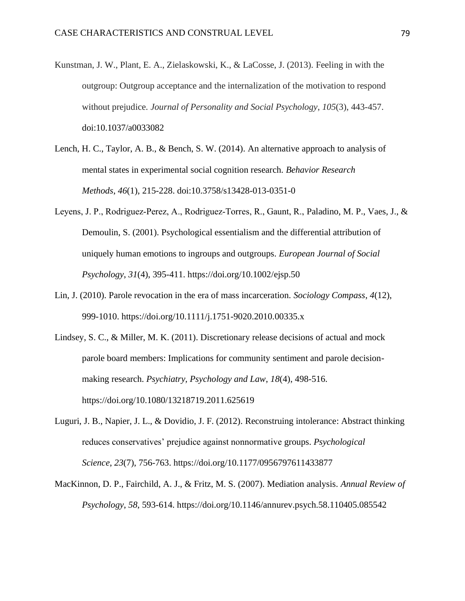- Kunstman, J. W., Plant, E. A., Zielaskowski, K., & LaCosse, J. (2013). Feeling in with the outgroup: Outgroup acceptance and the internalization of the motivation to respond without prejudice. *Journal of Personality and Social Psychology*, *105*(3), 443-457. doi:10.1037/a0033082
- Lench, H. C., Taylor, A. B., & Bench, S. W. (2014). An alternative approach to analysis of mental states in experimental social cognition research. *Behavior Research Methods*, *46*(1), 215-228. doi:10.3758/s13428-013-0351-0
- Leyens, J. P., Rodriguez‐Perez, A., Rodriguez‐Torres, R., Gaunt, R., Paladino, M. P., Vaes, J., & Demoulin, S. (2001). Psychological essentialism and the differential attribution of uniquely human emotions to ingroups and outgroups. *European Journal of Social Psychology*, *31*(4), 395-411. <https://doi.org/10.1002/ejsp.50>
- Lin, J. (2010). Parole revocation in the era of mass incarceration. *Sociology Compass*, *4*(12), 999-1010. <https://doi.org/10.1111/j.1751-9020.2010.00335.x>
- Lindsey, S. C., & Miller, M. K. (2011). Discretionary release decisions of actual and mock parole board members: Implications for community sentiment and parole decisionmaking research. *Psychiatry, Psychology and Law*, *18*(4), 498-516. <https://doi.org/10.1080/13218719.2011.625619>
- Luguri, J. B., Napier, J. L., & Dovidio, J. F. (2012). Reconstruing intolerance: Abstract thinking reduces conservatives' prejudice against nonnormative groups. *Psychological Science*, *23*(7), 756-763. [https://doi.org/10.1177/0956797611433877](https://doi.org/10.1177%2F0956797611433877)
- MacKinnon, D. P., Fairchild, A. J., & Fritz, M. S. (2007). Mediation analysis. *Annual Review of Psychology*, *58*, 593-614. <https://doi.org/10.1146/annurev.psych.58.110405.085542>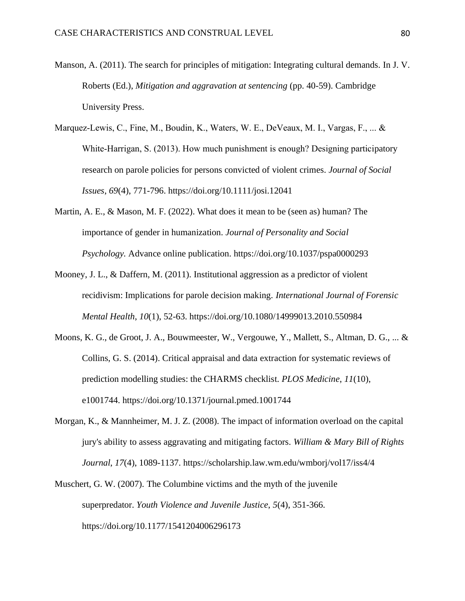- Manson, A. (2011). The search for principles of mitigation: Integrating cultural demands. In J. V. Roberts (Ed.), *Mitigation and aggravation at sentencing* (pp. 40-59). Cambridge University Press.
- Marquez-Lewis, C., Fine, M., Boudin, K., Waters, W. E., DeVeaux, M. I., Vargas, F., ... & White-Harrigan, S. (2013). How much punishment is enough? Designing participatory research on parole policies for persons convicted of violent crimes. *Journal of Social Issues*, *69*(4), 771-796. <https://doi.org/10.1111/josi.12041>
- Martin, A. E., & Mason, M. F. (2022). What does it mean to be (seen as) human? The importance of gender in humanization. *Journal of Personality and Social Psychology.* Advance online publication. [https://doi.org/10.1037/pspa0000293](https://psycnet.apa.org/doi/10.1037/pspa0000293)
- Mooney, J. L., & Daffern, M. (2011). Institutional aggression as a predictor of violent recidivism: Implications for parole decision making. *International Journal of Forensic Mental Health*, *10*(1), 52-63. <https://doi.org/10.1080/14999013.2010.550984>
- Moons, K. G., de Groot, J. A., Bouwmeester, W., Vergouwe, Y., Mallett, S., Altman, D. G., ... & Collins, G. S. (2014). Critical appraisal and data extraction for systematic reviews of prediction modelling studies: the CHARMS checklist. *PLOS Medicine*, *11*(10), e1001744. <https://doi.org/10.1371/journal.pmed.1001744>
- Morgan, K., & Mannheimer, M. J. Z. (2008). The impact of information overload on the capital jury's ability to assess aggravating and mitigating factors. *William & Mary Bill of Rights Journal*, *17*(4), 1089-1137. https://scholarship.law.wm.edu/wmborj/vol17/iss4/4
- Muschert, G. W. (2007). The Columbine victims and the myth of the juvenile superpredator. *Youth Violence and Juvenile Justice*, *5*(4), 351-366. [https://doi.org/10.1177/1541204006296173](https://doi.org/10.1177%2F1541204006296173)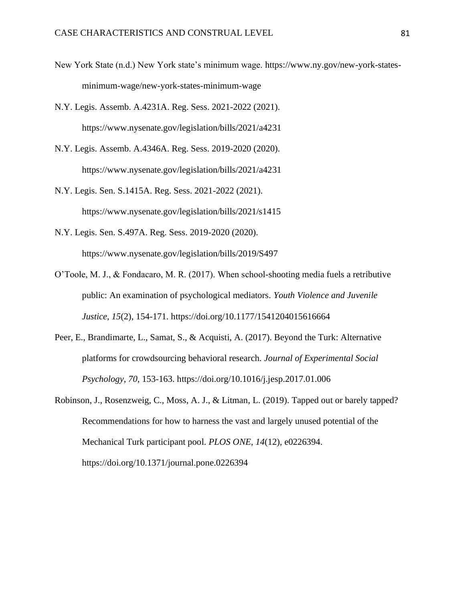- New York State (n.d.) New York state's minimum wage. [https://www.ny.gov/new-york-states](https://www.ny.gov/new-york-states-minimum-wage/new-york-states-minimum-wage)[minimum-wage/new-york-states-minimum-wage](https://www.ny.gov/new-york-states-minimum-wage/new-york-states-minimum-wage)
- N.Y. Legis. Assemb. A.4231A. Reg. Sess. 2021-2022 (2021). <https://www.nysenate.gov/legislation/bills/2021/a4231>
- N.Y. Legis. Assemb. A.4346A. Reg. Sess. 2019-2020 (2020). <https://www.nysenate.gov/legislation/bills/2021/a4231>
- N.Y. Legis. Sen. S.1415A. Reg. Sess. 2021-2022 (2021). <https://www.nysenate.gov/legislation/bills/2021/s1415>
- N.Y. Legis. Sen. S.497A. Reg. Sess. 2019-2020 (2020). <https://www.nysenate.gov/legislation/bills/2019/S497>
- O'Toole, M. J., & Fondacaro, M. R. (2017). When school-shooting media fuels a retributive public: An examination of psychological mediators. *Youth Violence and Juvenile Justice*, *15*(2), 154-171. [https://doi.org/10.1177/1541204015616664](https://doi.org/10.1177%2F1541204015616664)
- Peer, E., Brandimarte, L., Samat, S., & Acquisti, A. (2017). Beyond the Turk: Alternative platforms for crowdsourcing behavioral research. *Journal of Experimental Social Psychology*, *70*, 153-163. <https://doi.org/10.1016/j.jesp.2017.01.006>
- Robinson, J., Rosenzweig, C., Moss, A. J., & Litman, L. (2019). Tapped out or barely tapped? Recommendations for how to harness the vast and largely unused potential of the Mechanical Turk participant pool. *PLOS ONE*, *14*(12), e0226394. <https://doi.org/10.1371/journal.pone.0226394>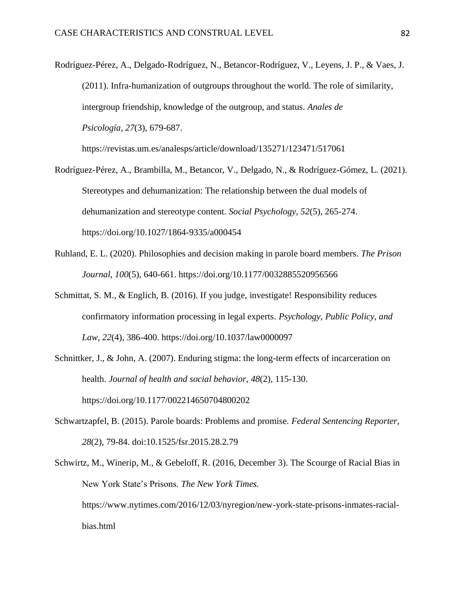Rodríguez-Pérez, A., Delgado-Rodríguez, N., Betancor-Rodríguez, V., Leyens, J. P., & Vaes, J. (2011). Infra-humanization of outgroups throughout the world. The role of similarity, intergroup friendship, knowledge of the outgroup, and status. *Anales de Psicología*, *27*(3), 679-687.

https://revistas.um.es/analesps/article/download/135271/123471/517061

- Rodríguez-Pérez, A., Brambilla, M., Betancor, V., Delgado, N., & Rodríguez-Gómez, L. (2021). Stereotypes and dehumanization: The relationship between the dual models of dehumanization and stereotype content. *Social Psychology, 52*(5), 265-274. [https://doi.org/10.1027/1864-9335/a000454](https://psycnet.apa.org/doi/10.1027/1864-9335/a000454)
- Ruhland, E. L. (2020). Philosophies and decision making in parole board members. *The Prison Journal*, *100*(5), 640-661. [https://doi.org/10.1177/0032885520956566](https://doi.org/10.1177%2F0032885520956566)
- Schmittat, S. M., & Englich, B. (2016). If you judge, investigate! Responsibility reduces confirmatory information processing in legal experts. *Psychology, Public Policy, and Law*, *22*(4), 386-400. [https://doi.org/10.1037/law0000097](https://psycnet.apa.org/doi/10.1037/law0000097)
- Schnittker, J., & John, A. (2007). Enduring stigma: the long-term effects of incarceration on health. *Journal of health and social behavior*, *48*(2), 115-130. [https://doi.org/10.1177/002214650704800202](https://doi.org/10.1177%2F002214650704800202)
- Schwartzapfel, B. (2015). Parole boards: Problems and promise. *Federal Sentencing Reporter*, *28*(2), 79-84. doi:10.1525/fsr.2015.28.2.79
- Schwirtz, M., Winerip, M., & Gebeloff, R. (2016, December 3). The Scourge of Racial Bias in New York State's Prisons. *The New York Times.*  [https://www.nytimes.com/2016/12/03/nyregion/new-york-state-prisons-inmates-racial](https://www.nytimes.com/2016/12/03/nyregion/new-york-state-prisons-inmates-racial-bias.html)[bias.html](https://www.nytimes.com/2016/12/03/nyregion/new-york-state-prisons-inmates-racial-bias.html)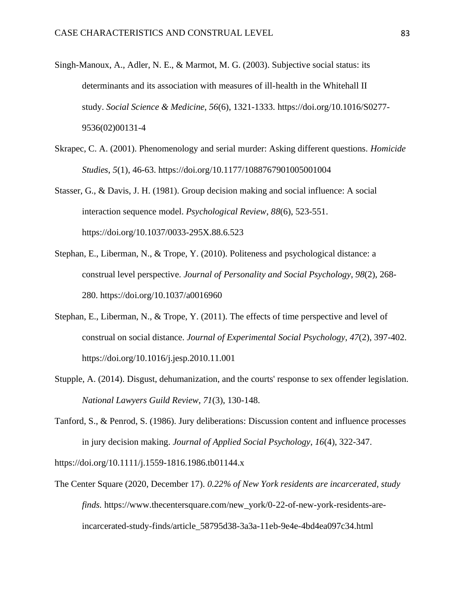- Singh-Manoux, A., Adler, N. E., & Marmot, M. G. (2003). Subjective social status: its determinants and its association with measures of ill-health in the Whitehall II study. *Social Science & Medicine*, *56*(6), 1321-1333. [https://doi.org/10.1016/S0277-](https://doi.org/10.1016/S0277-9536(02)00131-4) [9536\(02\)00131-4](https://doi.org/10.1016/S0277-9536(02)00131-4)
- Skrapec, C. A. (2001). Phenomenology and serial murder: Asking different questions. *Homicide Studies*, *5*(1), 46-63. [https://doi.org/10.1177/1088767901005001004](https://doi.org/10.1177%2F1088767901005001004)
- Stasser, G., & Davis, J. H. (1981). Group decision making and social influence: A social interaction sequence model. *Psychological Review*, *88*(6), 523-551. [https://doi.org/10.1037/0033-295X.88.6.523](https://psycnet.apa.org/doi/10.1037/0033-295X.88.6.523)
- Stephan, E., Liberman, N., & Trope, Y. (2010). Politeness and psychological distance: a construal level perspective. *Journal of Personality and Social Psychology*, *98*(2), 268- 280. [https://doi.org/10.1037/a0016960](https://psycnet.apa.org/doi/10.1037/a0016960)
- Stephan, E., Liberman, N., & Trope, Y. (2011). The effects of time perspective and level of construal on social distance. *Journal of Experimental Social Psychology*, *47*(2), 397-402. <https://doi.org/10.1016/j.jesp.2010.11.001>
- Stupple, A. (2014). Disgust, dehumanization, and the courts' response to sex offender legislation. *National Lawyers Guild Review*, *71*(3), 130-148.
- Tanford, S., & Penrod, S. (1986). Jury deliberations: Discussion content and influence processes in jury decision making. *Journal of Applied Social Psychology*, *16*(4), 322-347.

<https://doi.org/10.1111/j.1559-1816.1986.tb01144.x>

The Center Square (2020, December 17). *0.22% of New York residents are incarcerated, study finds.* [https://www.thecentersquare.com/new\\_york/0-22-of-new-york-residents-are](https://www.thecentersquare.com/new_york/0-22-of-new-york-residents-are-incarcerated-study-finds/article_58795d38-3a3a-11eb-9e4e-4bd4ea097c34.html)[incarcerated-study-finds/article\\_58795d38-3a3a-11eb-9e4e-4bd4ea097c34.html](https://www.thecentersquare.com/new_york/0-22-of-new-york-residents-are-incarcerated-study-finds/article_58795d38-3a3a-11eb-9e4e-4bd4ea097c34.html)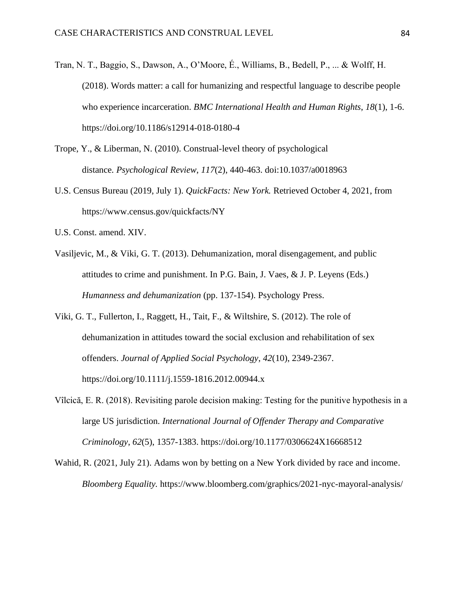- Tran, N. T., Baggio, S., Dawson, A., O'Moore, É., Williams, B., Bedell, P., ... & Wolff, H. (2018). Words matter: a call for humanizing and respectful language to describe people who experience incarceration. *BMC International Health and Human Rights*, *18*(1), 1-6. https://doi.org/10.1186/s12914-018-0180-4
- Trope, Y., & Liberman, N. (2010). Construal-level theory of psychological distance. *Psychological Review*, *117*(2), 440-463. doi[:10.1037/a0018963](https://dx.doi.org/10.1037%2Fa0018963)
- U.S. Census Bureau (2019, July 1). *QuickFacts: New York.* Retrieved October 4, 2021, from <https://www.census.gov/quickfacts/NY>
- U.S. Const. amend. XIV.
- Vasiljevic, M., & Viki, G. T. (2013). Dehumanization, moral disengagement, and public attitudes to crime and punishment. In P.G. Bain, J. Vaes, & J. P. Leyens (Eds.) *Humanness and dehumanization* (pp. 137-154). Psychology Press.
- Viki, G. T., Fullerton, I., Raggett, H., Tait, F., & Wiltshire, S. (2012). The role of dehumanization in attitudes toward the social exclusion and rehabilitation of sex offenders. *Journal of Applied Social Psychology*, *42*(10), 2349-2367. <https://doi.org/10.1111/j.1559-1816.2012.00944.x>
- Vîlcică, E. R. (2018). Revisiting parole decision making: Testing for the punitive hypothesis in a large US jurisdiction. *International Journal of Offender Therapy and Comparative Criminology*, *62*(5), 1357-1383. [https://doi.org/10.1177/0306624X16668512](https://doi.org/10.1177%2F0306624X16668512)
- Wahid, R. (2021, July 21). Adams won by betting on a New York divided by race and income. *Bloomberg Equality.* <https://www.bloomberg.com/graphics/2021-nyc-mayoral-analysis/>